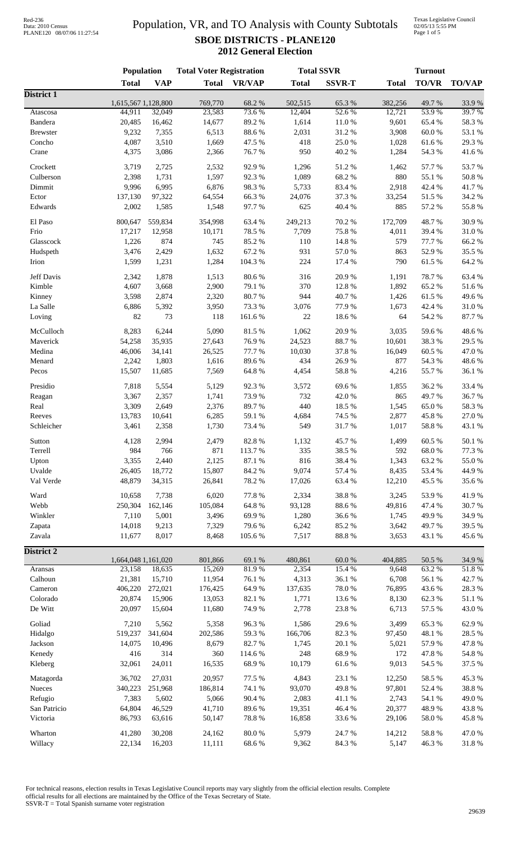### Population, VR, and TO Analysis with County Subtotals **SBOE DISTRICTS - PLANE120 2012 General Election**

Texas Legislative Council 02/05/13 5:55 PM Page 1 of 5

|                   | Population                    |            | <b>Total Voter Registration</b> |                |                   | <b>Total SSVR</b> |                   | <b>Turnout</b> |                  |  |
|-------------------|-------------------------------|------------|---------------------------------|----------------|-------------------|-------------------|-------------------|----------------|------------------|--|
|                   | <b>Total</b>                  | <b>VAP</b> | <b>Total</b>                    | <b>VR/VAP</b>  | <b>Total</b>      | <b>SSVR-T</b>     | <b>Total</b>      | <b>TO/VR</b>   | <b>TO/VAP</b>    |  |
| <b>District 1</b> |                               |            |                                 |                |                   |                   |                   |                |                  |  |
| Atascosa          | 1,615,567 1,128,800<br>44,911 | 32,049     | 769,770<br>23,583               | 68.2%<br>73.6% | 502,515<br>12,404 | 65.3%<br>52.6%    | 382,256<br>12,721 | 49.7%<br>53.9% | 33.9%<br>39.7%   |  |
| Bandera           | 20,485                        | 16,462     | 14,677                          | 89.2%          | 1,614             | $11.0\ \%$        | 9,601             | 65.4%          | 58.3 %           |  |
| <b>Brewster</b>   | 9,232                         | 7,355      | 6,513                           | 88.6%          | 2,031             | 31.2%             | 3,908             | 60.0%          | 53.1 %           |  |
| Concho            | 4,087                         | 3,510      | 1,669                           | 47.5 %         | 418               | 25.0%             | 1,028             | 61.6%          | 29.3 %           |  |
| Crane             | 4,375                         | 3,086      | 2,366                           | 76.7%          | 950               | 40.2%             | 1,284             | 54.3 %         | 41.6%            |  |
|                   |                               |            |                                 |                |                   |                   |                   |                |                  |  |
| Crockett          | 3,719                         | 2,725      | 2,532                           | 92.9%          | 1,296             | 51.2%             | 1,462             | 57.7%          | 53.7%            |  |
| Culberson         | 2,398                         | 1,731      | 1,597                           | 92.3%          | 1,089             | 68.2%             | 880               | 55.1 %         | 50.8%            |  |
| Dimmit            | 9,996                         | 6,995      | 6,876                           | 98.3%          | 5,733             | 83.4%             | 2,918             | 42.4 %         | 41.7%            |  |
| Ector             | 137,130                       | 97,322     | 64,554                          | 66.3%          | 24,076            | 37.3 %            | 33,254            | 51.5 %         | 34.2 %           |  |
| Edwards           | 2,002                         | 1,585      | 1,548                           | 97.7%          | 625               | 40.4 %            | 885               | 57.2 %         | 55.8%            |  |
| El Paso           | 800,647                       | 559,834    | 354,998                         | 63.4%          | 249,213           | 70.2 %            | 172,709           | 48.7%          | 30.9%            |  |
| Frio              | 17,217                        | 12,958     | 10,171                          | 78.5 %         | 7,709             | 75.8%             | 4,011             | 39.4%          | 31.0%            |  |
|                   | 1,226                         | 874        | 745                             | 85.2%          | 110               | 14.8 %            | 579               | 77.7 %         | 66.2%            |  |
| Glasscock         |                               |            |                                 |                |                   |                   |                   |                |                  |  |
| Hudspeth          | 3,476                         | 2,429      | 1,632                           | 67.2 %         | 931               | 57.0 %            | 863               | 52.9%          | 35.5 %           |  |
| Irion             | 1,599                         | 1,231      | 1,284                           | 104.3 %        | 224               | 17.4 %            | 790               | 61.5%          | 64.2 %           |  |
| Jeff Davis        | 2,342                         | 1,878      | 1,513                           | 80.6%          | 316               | 20.9%             | 1,191             | 78.7%          | 63.4%            |  |
| Kimble            | 4,607                         | 3,668      | 2,900                           | 79.1 %         | 370               | 12.8%             | 1,892             | 65.2%          | 51.6%            |  |
| Kinney            | 3,598                         | 2,874      | 2,320                           | 80.7%          | 944               | 40.7%             | 1,426             | 61.5%          | 49.6%            |  |
| La Salle          | 6,886                         | 5,392      | 3,950                           | 73.3 %         | 3,076             | 77.9%             | 1,673             | 42.4 %         | 31.0%            |  |
| Loving            | 82                            | 73         | 118                             | 161.6%         | $22\,$            | 18.6%             | 64                | 54.2 %         | 87.7%            |  |
|                   |                               |            |                                 |                |                   |                   |                   |                |                  |  |
| McCulloch         | 8,283                         | 6,244      | 5,090                           | 81.5%          | 1,062             | 20.9%             | 3,035             | 59.6%          | 48.6%            |  |
| Maverick          | 54,258                        | 35,935     | 27,643                          | 76.9%          | 24,523            | 88.7%             | 10,601            | 38.3%          | 29.5 %           |  |
| Medina            | 46,006                        | 34,141     | 26,525                          | 77.7 %         | 10,030            | 37.8%             | 16,049            | 60.5%          | 47.0%            |  |
| Menard            | 2,242                         | 1,803      | 1,616                           | 89.6%          | 434               | 26.9%             | 877               | 54.3 %         | 48.6%            |  |
| Pecos             | 15,507                        | 11,685     | 7,569                           | 64.8 %         | 4,454             | 58.8 %            | 4,216             | 55.7%          | 36.1%            |  |
| Presidio          | 7,818                         | 5,554      | 5,129                           | 92.3%          | 3,572             | 69.6%             | 1,855             | 36.2%          | 33.4 %           |  |
| Reagan            | 3,367                         | 2,357      | 1,741                           | 73.9%          | 732               | 42.0%             | 865               | 49.7%          | 36.7%            |  |
| Real              | 3,309                         | 2,649      | 2,376                           | 89.7%          | 440               | 18.5%             | 1,545             | 65.0%          | 58.3 %           |  |
| Reeves            | 13,783                        |            |                                 |                |                   | 74.5 %            |                   | 45.8%          | 27.0%            |  |
|                   |                               | 10,641     | 6,285                           | 59.1 %         | 4,684             |                   | 2,877             |                | 43.1 %           |  |
| Schleicher        | 3,461                         | 2,358      | 1,730                           | 73.4 %         | 549               | 31.7%             | 1,017             | 58.8%          |                  |  |
| Sutton            | 4,128                         | 2,994      | 2,479                           | 82.8%          | 1,132             | 45.7%             | 1,499             | 60.5%          | $50.1~\%$        |  |
| Terrell           | 984                           | 766        | 871                             | 113.7%         | 335               | 38.5%             | 592               | 68.0%          | 77.3 %           |  |
| Upton             | 3,355                         | 2,440      | 2,125                           | 87.1 %         | 816               | 38.4%             | 1,343             | 63.2%          | 55.0%            |  |
| Uvalde            | 26,405                        | 18,772     | 15,807                          | 84.2 %         | 9,074             | 57.4 %            | 8,435             | 53.4 %         | 44.9%            |  |
| Val Verde         | 48,879                        | 34,315     | 26,841                          | 78.2%          | 17,026            | 63.4 %            | 12,210            | 45.5 %         | 35.6%            |  |
|                   |                               |            |                                 |                |                   |                   |                   |                |                  |  |
| Ward              | 10,658                        | 7,738      | 6,020                           | 77.8 %         | 2,334             | 38.8%             | 3,245             | 53.9%          | 41.9%            |  |
| Webb              | 250,304                       | 162,146    | 105,084                         | 64.8%          | 93,128            | 88.6%             | 49,816            | 47.4 %         | 30.7%            |  |
| Winkler           | 7,110                         | 5,001      | 3,496                           | 69.9%          | 1,280             | 36.6%             | 1,745             | 49.9%          | 34.9%            |  |
| Zapata            | 14,018                        | 9,213      | 7,329                           | 79.6%          | 6,242             | 85.2%             | 3,642             | 49.7%          | 39.5 %           |  |
| Zavala            | 11,677                        | 8,017      | 8,468                           | 105.6%         | 7,517             | $88.8\ \%$        | 3,653             | 43.1 %         | 45.6%            |  |
| <b>District 2</b> |                               |            |                                 |                |                   |                   |                   |                |                  |  |
|                   | 1,664,048 1,161,020           |            | 801,866                         | 69.1 %         | 480,861           | 60.0%             | 404,885           | 50.5 %         | 34.9%            |  |
| Aransas           | 23,158                        | 18,635     | 15,269                          | 81.9%          | 2,354             | 15.4 %            | 9,648             | 63.2%          | 51.8%            |  |
| Calhoun           | 21,381                        | 15,710     | 11,954                          | 76.1 %         | 4,313             | 36.1%             | 6,708             | 56.1 %         | 42.7%            |  |
| Cameron           | 406,220                       | 272,021    | 176,425                         | 64.9%          | 137,635           | 78.0%             | 76,895            | 43.6%          | 28.3%            |  |
| Colorado          | 20,874                        | 15,906     | 13,053                          | 82.1 %         | 1,771             | 13.6 %            | 8,130             | 62.3%          | $51.1\text{ }\%$ |  |
| De Witt           | 20,097                        | 15,604     | 11,680                          | 74.9%          | 2,778             | 23.8%             | 6,713             | 57.5 %         | 43.0%            |  |
|                   |                               |            |                                 |                |                   |                   |                   |                |                  |  |
| Goliad            | 7,210                         | 5,562      | 5,358                           | 96.3%          | 1,586             | 29.6%             | 3,499             | 65.3%          | 62.9%            |  |
| Hidalgo           | 519,237                       | 341,604    | 202,586                         | 59.3%          | 166,706           | 82.3 %            | 97,450            | 48.1 %         | 28.5 %           |  |
| Jackson           | 14,075                        | 10,496     | 8,679                           | 82.7%          | 1,745             | $20.1~\%$         | 5,021             | 57.9%          | 47.8 %           |  |
| Kenedy            | 416                           | 314        | 360                             | 114.6 %        | 248               | 68.9%             | 172               | 47.8%          | 54.8 %           |  |
| Kleberg           | 32,061                        | 24,011     | 16,535                          | 68.9%          | 10,179            | $61.6\,\%$        | 9,013             | 54.5 %         | 37.5 %           |  |
| Matagorda         | 36,702                        | 27,031     | 20,957                          | 77.5 %         | 4,843             | 23.1 %            | 12,250            | 58.5 %         | 45.3%            |  |
|                   |                               | 251,968    | 186,814                         | 74.1 %         |                   | 49.8%             |                   | 52.4 %         | 38.8 %           |  |
| Nueces            | 340,223                       |            |                                 |                | 93,070            |                   | 97,801            |                |                  |  |
| Refugio           | 7,383                         | 5,602      | 5,066                           | 90.4 %         | 2,083             | 41.1 %            | 2,743             | 54.1 %         | 49.0%            |  |
| San Patricio      | 64,804                        | 46,529     | 41,710                          | 89.6%          | 19,351            | 46.4 %            | 20,377            | 48.9%          | 43.8%            |  |
| Victoria          | 86,793                        | 63,616     | 50,147                          | 78.8%          | 16,858            | 33.6%             | 29,106            | 58.0%          | 45.8%            |  |
| Wharton           | 41,280                        | 30,208     | 24,162                          | 80.0%          | 5,979             | 24.7 %            | 14,212            | 58.8 %         | 47.0 %           |  |
| Willacy           | 22,134                        | 16,203     | 11,111                          | 68.6%          | 9,362             | 84.3 %            | 5,147             | 46.3%          | 31.8%            |  |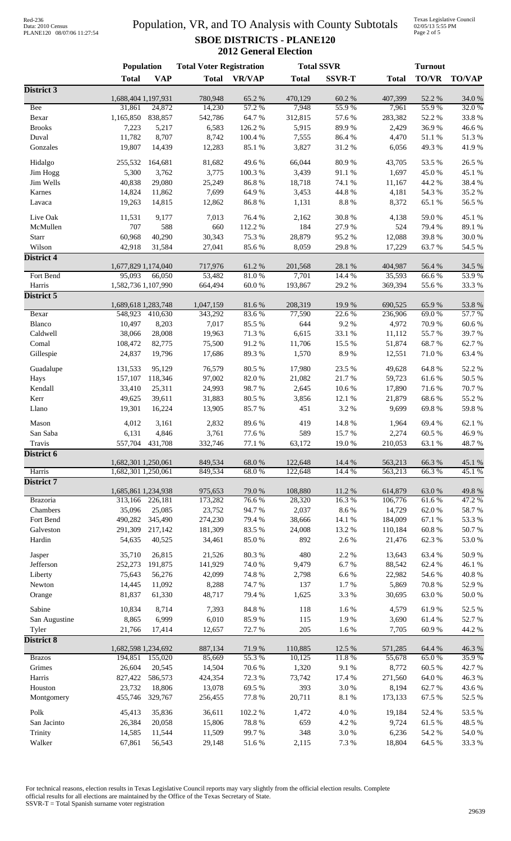# Data: 2010 Census PLANE120 08/07/06 11:27:54

### Population, VR, and TO Analysis with County Subtotals **SBOE DISTRICTS - PLANE120 2012 General Election**

Texas Legislative Council 02/05/13 5:55 PM Page 2 of 5

|                     | <b>Population</b>   |                   | <b>Total Voter Registration</b> |                 |                  | <b>Total SSVR</b>   |                  | <b>Turnout</b>  |                  |  |
|---------------------|---------------------|-------------------|---------------------------------|-----------------|------------------|---------------------|------------------|-----------------|------------------|--|
|                     | <b>Total</b>        | <b>VAP</b>        | <b>Total</b>                    | <b>VR/VAP</b>   | <b>Total</b>     | <b>SSVR-T</b>       | <b>Total</b>     | <b>TO/VR</b>    | <b>TO/VAP</b>    |  |
| District 3          |                     |                   |                                 |                 |                  |                     |                  |                 |                  |  |
|                     | 1,688,404 1,197,931 |                   | 780,948                         | 65.2%           | 470,129          | 60.2%               | 407,399          | 52.2 %          | 34.0 %           |  |
| <b>Bee</b><br>Bexar | 31,861<br>1,165,850 | 24,872<br>838,857 | 14,230<br>542,786               | 57.2 %<br>64.7% | 7,948<br>312,815 | 55.9%<br>57.6 %     | 7,961<br>283,382 | 55.9%<br>52.2 % | 32.0%<br>33.8%   |  |
| <b>Brooks</b>       | 7,223               | 5,217             | 6,583                           | 126.2%          | 5,915            | 89.9%               | 2,429            | 36.9%           | 46.6%            |  |
| Duval               | 11,782              | 8,707             | 8,742                           | 100.4 %         | 7,555            | 86.4%               | 4,470            | 51.1%           | 51.3%            |  |
| Gonzales            | 19,807              | 14,439            | 12,283                          | 85.1 %          | 3,827            | 31.2%               | 6,056            | 49.3%           | 41.9%            |  |
| Hidalgo             | 255,532             | 164,681           | 81,682                          | 49.6%           | 66,044           | 80.9%               | 43,705           | 53.5%           | 26.5%            |  |
| Jim Hogg            | 5,300               | 3,762             | 3,775                           | 100.3%          | 3,439            | 91.1%               | 1,697            | 45.0%           | 45.1 %           |  |
| Jim Wells           | 40,838              | 29,080            | 25,249                          | 86.8%           | 18,718           | 74.1 %              | 11,167           | 44.2 %          | 38.4%            |  |
| Karnes              | 14,824              | 11,862            | 7,699                           | 64.9%           | 3,453            | 44.8 %              | 4,181            | 54.3 %          | 35.2 %           |  |
| Lavaca              | 19,263              | 14,815            | 12,862                          | 86.8%           | 1,131            | $8.8\ \%$           | 8,372            | 65.1%           | 56.5 %           |  |
| Live Oak            | 11,531              | 9,177             | 7,013                           | 76.4 %          | 2,162            | 30.8%               | 4,138            | 59.0%           | 45.1 %           |  |
| McMullen            | 707                 | 588               | 660                             | 112.2 %         | 184              | 27.9%               | 524              | 79.4 %          | 89.1 %           |  |
| Starr               | 60,968              | 40,290            | 30,343                          | 75.3 %          | 28,879           | 95.2%               | 12,088           | 39.8%           | 30.0%            |  |
| Wilson              | 42,918              | 31,584            | 27,041                          | 85.6%           | 8,059            | 29.8%               | 17,229           | 63.7%           | 54.5 %           |  |
| <b>District 4</b>   |                     |                   |                                 |                 |                  |                     |                  |                 |                  |  |
|                     | 1,677,829 1,174,040 |                   | 717,976                         | 61.2%           | 201,568          | 28.1 %              | 404,987          | 56.4 %          | 34.5 %           |  |
| Fort Bend           | 95,093              | 66,050            | 53.482                          | 81.0%           | 7,701            | 14.4 %              | 35,593           | 66.6%           | 53.9%            |  |
| Harris              | 1,582,736 1,107,990 |                   | 664,494                         | $60.0~\%$       | 193,867          | 29.2 %              | 369,394          | 55.6%           | 33.3%            |  |
| District 5          | 1,689,618 1,283,748 |                   | 1,047,159                       | 81.6%           | 208,319          | 19.9%               | 690,525          | 65.9%           | 53.8%            |  |
| Bexar               | 548,923             | 410,630           | 343,292                         | 83.6%           | 77,590           | 22.6 %              | 236,906          | 69.0%           | 57.7%            |  |
| Blanco              | 10,497              | 8,203             | 7,017                           | 85.5%           | 644              | 9.2%                | 4,972            | 70.9%           | 60.6%            |  |
| Caldwell            | 38,066              | 28,008            | 19,963                          | 71.3%           | 6,615            | 33.1 %              | 11,112           | 55.7%           | 39.7%            |  |
| Comal               | 108,472             | 82,775            | 75,500                          | 91.2%           | 11,706           | 15.5 %              | 51,874           | 68.7%           | 62.7%            |  |
| Gillespie           | 24,837              | 19,796            | 17,686                          | 89.3%           | 1,570            | 8.9%                | 12,551           | $71.0\ \%$      | 63.4%            |  |
| Guadalupe           | 131,533             | 95,129            | 76,579                          | 80.5 %          | 17,980           | 23.5 %              | 49,628           | 64.8%           | 52.2 %           |  |
| Hays                | 157,107             | 118,346           | 97,002                          | 82.0%           | 21,082           | 21.7%               | 59,723           | 61.6%           | 50.5 %           |  |
| Kendall             | 33,410              | 25,311            | 24,993                          | 98.7%           | 2,645            | 10.6%               | 17,890           | 71.6%           | 70.7%            |  |
| Kerr                | 49,625              | 39,611            | 31,883                          | 80.5 %          | 3,856            | 12.1 %              | 21,879           | 68.6%           | 55.2%            |  |
| Llano               | 19,301              | 16,224            | 13,905                          | 85.7%           | 451              | 3.2%                | 9,699            | 69.8%           | 59.8%            |  |
| Mason               | 4,012               | 3,161             | 2,832                           | 89.6%           | 419              | 14.8 %              | 1,964            | 69.4%           | 62.1%            |  |
| San Saba            | 6,131               | 4,846             | 3,761                           | 77.6 %          | 589              | 15.7 %              | 2,274            | 60.5 %          | 46.9 %           |  |
| Travis              | 557,704             | 431,708           | 332,746                         | 77.1 %          | 63,172           | 19.0%               | 210,053          | 63.1%           | 48.7%            |  |
| District 6          |                     |                   |                                 |                 |                  |                     |                  |                 |                  |  |
|                     | 1,682,301 1,250,061 |                   | 849,534                         | 68.0%           | 122,648          | 14.4 %              | 563,213          | 66.3%           | 45.1 %           |  |
| Harris              | 1,682,301 1,250,061 |                   | 849,534                         | 68.0%           | 122,648          | 14.4 %              | 563,213          | 66.3%           | 45.1%            |  |
| District 7          | 1,685,861 1,234,938 |                   | 975,653                         | 79.0%           | 108,880          | 11.2 %              | 614,879          | 63.0%           | 49.8%            |  |
| Brazoria            | 313,166             | 226,181           | 173,282                         | 76.6%           | 28,320           | 16.3%               | 106,776          | 61.6%           | 47.2 %           |  |
| Chambers            | 35,096              | 25,085            | 23,752                          | 94.7%           | 2,037            | 8.6 %               | 14,729           | 62.0%           | 58.7%            |  |
| Fort Bend           | 490,282             | 345,490           | 274,230                         | 79.4%           | 38,666           | 14.1 %              | 184,009          | 67.1 %          | 53.3%            |  |
| Galveston           | 291,309             | 217,142           | 181,309                         | 83.5%           | 24,008           | 13.2 %              | 110,184          | 60.8%           | 50.7%            |  |
| Hardin              | 54,635              | 40,525            | 34,461                          | 85.0%           | 892              | 2.6 %               | 21,476           | 62.3%           | 53.0%            |  |
| Jasper              | 35,710              | 26,815            | 21,526                          | 80.3%           | 480              | 2.2 %               | 13,643           | 63.4 %          | 50.9%            |  |
| Jefferson           | 252,273             | 191,875           | 141,929                         | 74.0 %          | 9,479            | 6.7%                | 88,542           | 62.4 %          | 46.1%            |  |
| Liberty             | 75,643              | 56,276            | 42,099                          | 74.8%           | 2,798            | 6.6%                | 22,982           | 54.6%           | $40.8~\%$        |  |
| Newton              | 14,445              | 11,092            | 8,288                           | 74.7%           | 137              | 1.7%                | 5,869            | 70.8%           | 52.9%            |  |
| Orange              | 81,837              | 61,330            | 48,717                          | 79.4 %          | 1,625            | 3.3 %               | 30,695           | 63.0%           | $50.0\;\%$       |  |
| Sabine              | 10,834              | 8,714             | 7,393                           | 84.8 %          | 118              | 1.6%                | 4,579            | 61.9%           | 52.5 %           |  |
| San Augustine       | 8,865               | 6,999             | 6,010                           | 85.9%           | 115              | 1.9%                | 3,690            | 61.4%           | 52.7%            |  |
| Tyler               | 21,766              | 17,414            | 12,657                          | 72.7%           | 205              | 1.6%                | 7,705            | 60.9%           | 44.2 %           |  |
| <b>District 8</b>   |                     |                   |                                 |                 |                  |                     |                  |                 |                  |  |
|                     | 1,682,598 1,234,692 |                   | 887,134                         | 71.9%           | 110,885          | 12.5 %              | 571,285          | 64.4 %          | 46.3%            |  |
| <b>Brazos</b>       | 194,851             | 155,020           | 85,669                          | 55.3%           | 10,125           | 11.8%               | 55,678           | 65.0%           | 35.9%            |  |
| Grimes<br>Harris    | 26,604              | 20,545            | 14,504                          | 70.6%           | 1,320            | 9.1 %               | 8,772            | 60.5 %<br>64.0% | 42.7%            |  |
| Houston             | 827,422<br>23,732   | 586,573<br>18,806 | 424,354<br>13,078               | 72.3 %<br>69.5% | 73,742<br>393    | 17.4 %<br>$3.0\ \%$ | 271,560<br>8,194 | 62.7%           | 46.3%<br>43.6%   |  |
| Montgomery          | 455,746             | 329,767           | 256,455                         | 77.8 %          | 20,711           | $8.1~\%$            | 173,133          | 67.5 %          | 52.5 %           |  |
|                     |                     |                   |                                 |                 |                  |                     |                  |                 |                  |  |
| Polk                | 45,413              | 35,836            | 36,611                          | 102.2%          | 1,472            | $4.0\ \%$           | 19,184           | 52.4 %          | 53.5 %           |  |
| San Jacinto         | 26,384              | 20,058            | 15,806                          | 78.8 %<br>99.7% | 659              | 4.2 %               | 9,724            | 61.5%<br>54.2 % | 48.5 %           |  |
| Trinity<br>Walker   | 14,585<br>67,861    | 11,544<br>56,543  | 11,509<br>29,148                | 51.6%           | 348<br>2,115     | $3.0\ \%$<br>7.3 %  | 6,236<br>18,804  | 64.5 %          | 54.0 %<br>33.3 % |  |
|                     |                     |                   |                                 |                 |                  |                     |                  |                 |                  |  |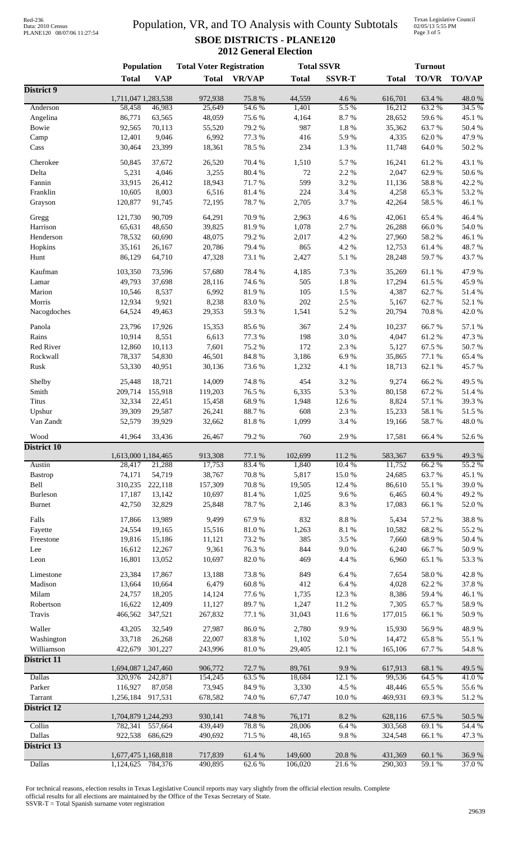# Data: 2010 Census PLANE120 08/07/06 11:27:54

### Population, VR, and TO Analysis with County Subtotals **SBOE DISTRICTS - PLANE120 2012 General Election**

Texas Legislative Council 02/05/13 5:55 PM Page 3 of 5

| <b>TO/VR</b><br><b>Total</b><br><b>VAP</b><br><b>VR/VAP</b><br><b>SSVR-T</b><br><b>TO/VAP</b><br><b>Total</b><br><b>Total</b><br><b>Total</b><br>75.8%<br>44,559<br>4.6%<br>48.0%<br>1,711,047 1,283,538<br>972,938<br>616,701<br>63.4 %<br>5.5 %<br>34.5 %<br>Anderson<br>58,458<br>25,649<br>54.6%<br>1,401<br>16,212<br>63.2 %<br>46,983<br>86,771<br>48,059<br>8.7%<br>45.1 %<br>Angelina<br>63,565<br>75.6%<br>4,164<br>28,652<br>59.6%<br>Bowie<br>79.2 %<br>987<br>1.8 %<br>35,362<br>63.7%<br>50.4 %<br>92,565<br>70,113<br>55,520<br>9,046<br>6,992<br>77.3 %<br>416<br>5.9%<br>4,335<br>62.0%<br>47.9%<br>Camp<br>12,401<br>23,399<br>78.5 %<br>234<br>1.3%<br>64.0%<br>50.2%<br>Cass<br>30,464<br>18,361<br>11,748<br>5.7%<br>16,241<br>61.2%<br>43.1 %<br>Cherokee<br>50,845<br>37,672<br>26,520<br>70.4 %<br>1,510<br>2.2 %<br>5,231<br>4,046<br>3,255<br>80.4 %<br>72<br>2,047<br>62.9%<br>50.6%<br>Delta<br>599<br>3.2 %<br>Fannin<br>33,915<br>26,412<br>18,943<br>71.7%<br>58.8 %<br>42.2 %<br>11,136<br>8,003<br>6,516<br>224<br>Franklin<br>81.4%<br>3.4 %<br>4,258<br>65.3%<br>53.2 %<br>10,605<br>120,877<br>91,745<br>78.7%<br>3.7%<br>42,264<br>58.5 %<br>46.1%<br>72,195<br>2,705<br>Grayson<br>90,709<br>70.9%<br>4.6%<br>46.4%<br>121,730<br>64,291<br>2,963<br>42,061<br>65.4 %<br>Gregg<br>2.7%<br>Harrison<br>39,825<br>81.9%<br>1,078<br>26,288<br>66.0%<br>54.0 %<br>65,631<br>48,650<br>4.2 %<br>78,532<br>60,690<br>48,075<br>79.2 %<br>2,017<br>27,960<br>58.2%<br>46.1%<br>Henderson<br>4.2 %<br>35,161<br>26,167<br>20,786<br>79.4 %<br>865<br>12,753<br>61.4%<br>48.7%<br>Hopkins<br>86,129<br>64,710<br>73.1 %<br>2,427<br>5.1 %<br>28,248<br>59.7%<br>43.7%<br>Hunt<br>47,328<br>Kaufman<br>73,596<br>78.4%<br>4,185<br>7.3 %<br>35,269<br>61.1%<br>47.9%<br>103,350<br>57,680<br>49,793<br>37,698<br>28,116<br>74.6%<br>505<br>1.8%<br>17,294<br>61.5%<br>45.9%<br>Lamar<br>105<br>1.5 %<br>62.7%<br>Marion<br>10,546<br>8,537<br>6,992<br>81.9%<br>4,387<br>51.4%<br>12,934<br>9,921<br>8,238<br>83.0%<br>202<br>2.5 %<br>5,167<br>62.7%<br>52.1 %<br>Morris<br>64,524<br>49,463<br>59.3 %<br>5.2 %<br>20,794<br>70.8%<br>42.0%<br>Nacogdoches<br>29,353<br>1,541<br>Panola<br>17,926<br>85.6%<br>2.4 %<br>66.7%<br>57.1 %<br>23,796<br>15,353<br>367<br>10,237<br>Rains<br>10,914<br>8,551<br>6,613<br>77.3 %<br>198<br>3.0%<br>4,047<br>61.2%<br>47.3 %<br>Red River<br>12,860<br>10,113<br>7,601<br>75.2 %<br>172<br>2.3 %<br>5,127<br>67.5 %<br>50.7%<br>Rockwall<br>54,830<br>46,501<br>84.8 %<br>6.9%<br>35,865<br>77.1 %<br>65.4%<br>78,337<br>3,186<br>4.1 %<br>62.1 %<br>Rusk<br>53,330<br>40,951<br>30,136<br>73.6%<br>1,232<br>18,713<br>45.7%<br>18,721<br>14,009<br>74.8%<br>454<br>3.2%<br>66.2%<br>49.5 %<br>Shelby<br>25,448<br>9,274<br>Smith<br>155,918<br>76.5 %<br>6,335<br>5.3%<br>80,158<br>67.2%<br>51.4%<br>209,714<br>119,203<br>32,334<br>68.9%<br>8,824<br>57.1 %<br>39.3%<br>Titus<br>22,451<br>15,458<br>1,948<br>12.6 %<br>608<br>26,241<br>88.7%<br>2.3 %<br>15,233<br>58.1 %<br>Upshur<br>39,309<br>29,587<br>51.5%<br>3.4 %<br>58.7%<br>Van Zandt<br>52,579<br>39,929<br>32,662<br>$81.8\ \%$<br>1,099<br>19,166<br>48.0%<br>Wood<br>41,964<br>79.2 %<br>760<br>2.9%<br>17,581<br>66.4%<br>52.6%<br>33,436<br>26,467<br><b>District 10</b><br>913,308<br>1,613,000 1,184,465<br>77.1 %<br>102,699<br>11.2%<br>583,367<br>63.9%<br>49.3%<br>21,288<br>17,753<br>83.4 %<br>1,840<br>10.4 %<br>66.2%<br>55.2 %<br>Austin<br>28,417<br>11,752<br>54,719<br>38,767<br>70.8 %<br>5,817<br>15.0%<br>63.7%<br>45.1 %<br>74,171<br>24,685<br><b>Bastrop</b><br>Bell<br>310,235<br>222,118<br>157,309<br>70.8 %<br>19,505<br>86,610<br>55.1 %<br>39.0%<br>12.4 %<br>13,142<br>81.4 %<br>1,025<br>9.6%<br>49.2%<br>Burleson<br>17,187<br>10,697<br>6,465<br>60.4%<br>8.3%<br><b>Burnet</b><br>42,750<br>32,829<br>25,848<br>78.7%<br>2,146<br>17,083<br>66.1%<br>52.0%<br>13,989<br>9,499<br>$8.8\ \%$<br>38.8%<br>Falls<br>17,866<br>67.9%<br>832<br>5,434<br>57.2 %<br>55.2%<br>Fayette<br>24,554<br>19,165<br>15,516<br>$81.0\ \%$<br>1,263<br>8.1 %<br>10,582<br>68.2%<br>385<br>3.5%<br>68.9%<br>50.4 %<br>Freestone<br>19,816<br>15,186<br>11,121<br>73.2 %<br>7,660<br>9,361<br>76.3%<br>844<br>9.0%<br>66.7%<br>50.9%<br>Lee<br>16,612<br>12,267<br>6,240<br>$82.0\ \%$<br>65.1 %<br>53.3%<br>Leon<br>16,801<br>13,052<br>10,697<br>469<br>4.4 %<br>6,960<br>17,867<br>849<br>6.4%<br>42.8%<br>Limestone<br>23,384<br>13,188<br>73.8%<br>7,654<br>58.0%<br>Madison<br>$60.8~\%$<br>412<br>6.4%<br>62.2%<br>37.8%<br>13,664<br>10,664<br>6,479<br>4,028<br>Milam<br>12.3 %<br>46.1 %<br>24,757<br>18,205<br>14,124<br>77.6 %<br>1,735<br>8,386<br>59.4%<br>12,409<br>89.7%<br>11.2%<br>65.7%<br>58.9%<br>Robertson<br>16,622<br>11,127<br>1,247<br>7,305<br>347,521<br>50.9%<br>Travis<br>466,562<br>267,832<br>77.1 %<br>31,043<br>11.6%<br>177,015<br>66.1%<br>Waller<br>32,549<br>9.9%<br>48.9%<br>43,205<br>27,987<br>86.0%<br>2,780<br>15,930<br>56.9%<br>33,718<br>22,007<br>83.8%<br>1,102<br>5.0%<br>65.8%<br>55.1 %<br>Washington<br>26,268<br>14,472<br>Williamson<br>301,227<br>12.1 %<br>165,106<br>67.7%<br>54.8%<br>422,679<br>243,996<br>81.0%<br>29,405<br>District 11<br>1,694,087 1,247,460<br>906,772<br>72.7 %<br>89,761<br>9.9%<br>617,913<br>68.1 %<br>49.5 %<br><b>Dallas</b><br>320,976 242,871<br>63.5%<br>64.5 %<br>41.0%<br>154,245<br>18,684<br>12.1 %<br>99,536<br>Parker<br>116,927<br>87,058<br>73,945<br>84.9%<br>3,330<br>4.5 %<br>48,446<br>65.5%<br>55.6%<br>917,531<br>74.0 %<br>67,747<br>469,931<br>69.3%<br>Tarrant<br>1,256,184<br>678,582<br>10.0%<br>51.2%<br>1,704,879 1,244,293<br>930,141<br>74.8%<br>76,171<br>8.2%<br>628,116<br>50.5 %<br>67.5 %<br>Collin<br>78.8%<br>6.4%<br>782,341<br>557,664<br>439,449<br>28,006<br>303,568<br>69.1%<br>54.4 %<br>Dallas<br>71.5 %<br>9.8%<br>47.3 %<br>922,538<br>686,629<br>490,692<br>48,165<br>324,548<br>66.1%<br>District 13<br>1,677,475 1,168,818<br>717,839<br>61.4%<br>149,600<br>20.8%<br>431,369<br>60.1 %<br>36.9%<br>Dallas<br>1,124,625<br>59.1 %<br>37.0%<br>784,376<br>490,895<br>62.6%<br>106,020<br>21.6%<br>290,303 |                    | <b>Population</b> |  | <b>Total Voter Registration</b> |  | <b>Total SSVR</b> | <b>Turnout</b> |  |  |
|-----------------------------------------------------------------------------------------------------------------------------------------------------------------------------------------------------------------------------------------------------------------------------------------------------------------------------------------------------------------------------------------------------------------------------------------------------------------------------------------------------------------------------------------------------------------------------------------------------------------------------------------------------------------------------------------------------------------------------------------------------------------------------------------------------------------------------------------------------------------------------------------------------------------------------------------------------------------------------------------------------------------------------------------------------------------------------------------------------------------------------------------------------------------------------------------------------------------------------------------------------------------------------------------------------------------------------------------------------------------------------------------------------------------------------------------------------------------------------------------------------------------------------------------------------------------------------------------------------------------------------------------------------------------------------------------------------------------------------------------------------------------------------------------------------------------------------------------------------------------------------------------------------------------------------------------------------------------------------------------------------------------------------------------------------------------------------------------------------------------------------------------------------------------------------------------------------------------------------------------------------------------------------------------------------------------------------------------------------------------------------------------------------------------------------------------------------------------------------------------------------------------------------------------------------------------------------------------------------------------------------------------------------------------------------------------------------------------------------------------------------------------------------------------------------------------------------------------------------------------------------------------------------------------------------------------------------------------------------------------------------------------------------------------------------------------------------------------------------------------------------------------------------------------------------------------------------------------------------------------------------------------------------------------------------------------------------------------------------------------------------------------------------------------------------------------------------------------------------------------------------------------------------------------------------------------------------------------------------------------------------------------------------------------------------------------------------------------------------------------------------------------------------------------------------------------------------------------------------------------------------------------------------------------------------------------------------------------------------------------------------------------------------------------------------------------------------------------------------------------------------------------------------------------------------------------------------------------------------------------------------------------------------------------------------------------------------------------------------------------------------------------------------------------------------------------------------------------------------------------------------------------------------------------------------------------------------------------------------------------------------------------------------------------------------------------------------------------------------------------------------------------------------------------------------------------------------------------------------------------------------------------------------------------------------------------------------------------------------------------------------------------------------------------------------------------------------------------------------------------------------------------------------------------------------------------------------------------------------------------------------------------------------------------------------------------------------------------------------------------------------------------------------------------------------------------------------------------------------------------------------------------------------------------------------------------------------------------------------------------------------------------------------------------------------------------------------------------------------------------------------------------------------------------------------------------------------------------------------------------------------------------------------------------------------------------------------------------------------------------------------------------------------------------------------------------------------------------------------------------------------------------------------------------------------------------------------|--------------------|-------------------|--|---------------------------------|--|-------------------|----------------|--|--|
|                                                                                                                                                                                                                                                                                                                                                                                                                                                                                                                                                                                                                                                                                                                                                                                                                                                                                                                                                                                                                                                                                                                                                                                                                                                                                                                                                                                                                                                                                                                                                                                                                                                                                                                                                                                                                                                                                                                                                                                                                                                                                                                                                                                                                                                                                                                                                                                                                                                                                                                                                                                                                                                                                                                                                                                                                                                                                                                                                                                                                                                                                                                                                                                                                                                                                                                                                                                                                                                                                                                                                                                                                                                                                                                                                                                                                                                                                                                                                                                                                                                                                                                                                                                                                                                                                                                                                                                                                                                                                                                                                                                                                                                                                                                                                                                                                                                                                                                                                                                                                                                                                                                                                                                                                                                                                                                                                                                                                                                                                                                                                                                                                                                                                                                                                                                                                                                                                                                                                                                                                                                                                                                                                                                                     |                    |                   |  |                                 |  |                   |                |  |  |
|                                                                                                                                                                                                                                                                                                                                                                                                                                                                                                                                                                                                                                                                                                                                                                                                                                                                                                                                                                                                                                                                                                                                                                                                                                                                                                                                                                                                                                                                                                                                                                                                                                                                                                                                                                                                                                                                                                                                                                                                                                                                                                                                                                                                                                                                                                                                                                                                                                                                                                                                                                                                                                                                                                                                                                                                                                                                                                                                                                                                                                                                                                                                                                                                                                                                                                                                                                                                                                                                                                                                                                                                                                                                                                                                                                                                                                                                                                                                                                                                                                                                                                                                                                                                                                                                                                                                                                                                                                                                                                                                                                                                                                                                                                                                                                                                                                                                                                                                                                                                                                                                                                                                                                                                                                                                                                                                                                                                                                                                                                                                                                                                                                                                                                                                                                                                                                                                                                                                                                                                                                                                                                                                                                                                     | District 9         |                   |  |                                 |  |                   |                |  |  |
|                                                                                                                                                                                                                                                                                                                                                                                                                                                                                                                                                                                                                                                                                                                                                                                                                                                                                                                                                                                                                                                                                                                                                                                                                                                                                                                                                                                                                                                                                                                                                                                                                                                                                                                                                                                                                                                                                                                                                                                                                                                                                                                                                                                                                                                                                                                                                                                                                                                                                                                                                                                                                                                                                                                                                                                                                                                                                                                                                                                                                                                                                                                                                                                                                                                                                                                                                                                                                                                                                                                                                                                                                                                                                                                                                                                                                                                                                                                                                                                                                                                                                                                                                                                                                                                                                                                                                                                                                                                                                                                                                                                                                                                                                                                                                                                                                                                                                                                                                                                                                                                                                                                                                                                                                                                                                                                                                                                                                                                                                                                                                                                                                                                                                                                                                                                                                                                                                                                                                                                                                                                                                                                                                                                                     |                    |                   |  |                                 |  |                   |                |  |  |
|                                                                                                                                                                                                                                                                                                                                                                                                                                                                                                                                                                                                                                                                                                                                                                                                                                                                                                                                                                                                                                                                                                                                                                                                                                                                                                                                                                                                                                                                                                                                                                                                                                                                                                                                                                                                                                                                                                                                                                                                                                                                                                                                                                                                                                                                                                                                                                                                                                                                                                                                                                                                                                                                                                                                                                                                                                                                                                                                                                                                                                                                                                                                                                                                                                                                                                                                                                                                                                                                                                                                                                                                                                                                                                                                                                                                                                                                                                                                                                                                                                                                                                                                                                                                                                                                                                                                                                                                                                                                                                                                                                                                                                                                                                                                                                                                                                                                                                                                                                                                                                                                                                                                                                                                                                                                                                                                                                                                                                                                                                                                                                                                                                                                                                                                                                                                                                                                                                                                                                                                                                                                                                                                                                                                     |                    |                   |  |                                 |  |                   |                |  |  |
|                                                                                                                                                                                                                                                                                                                                                                                                                                                                                                                                                                                                                                                                                                                                                                                                                                                                                                                                                                                                                                                                                                                                                                                                                                                                                                                                                                                                                                                                                                                                                                                                                                                                                                                                                                                                                                                                                                                                                                                                                                                                                                                                                                                                                                                                                                                                                                                                                                                                                                                                                                                                                                                                                                                                                                                                                                                                                                                                                                                                                                                                                                                                                                                                                                                                                                                                                                                                                                                                                                                                                                                                                                                                                                                                                                                                                                                                                                                                                                                                                                                                                                                                                                                                                                                                                                                                                                                                                                                                                                                                                                                                                                                                                                                                                                                                                                                                                                                                                                                                                                                                                                                                                                                                                                                                                                                                                                                                                                                                                                                                                                                                                                                                                                                                                                                                                                                                                                                                                                                                                                                                                                                                                                                                     |                    |                   |  |                                 |  |                   |                |  |  |
|                                                                                                                                                                                                                                                                                                                                                                                                                                                                                                                                                                                                                                                                                                                                                                                                                                                                                                                                                                                                                                                                                                                                                                                                                                                                                                                                                                                                                                                                                                                                                                                                                                                                                                                                                                                                                                                                                                                                                                                                                                                                                                                                                                                                                                                                                                                                                                                                                                                                                                                                                                                                                                                                                                                                                                                                                                                                                                                                                                                                                                                                                                                                                                                                                                                                                                                                                                                                                                                                                                                                                                                                                                                                                                                                                                                                                                                                                                                                                                                                                                                                                                                                                                                                                                                                                                                                                                                                                                                                                                                                                                                                                                                                                                                                                                                                                                                                                                                                                                                                                                                                                                                                                                                                                                                                                                                                                                                                                                                                                                                                                                                                                                                                                                                                                                                                                                                                                                                                                                                                                                                                                                                                                                                                     |                    |                   |  |                                 |  |                   |                |  |  |
|                                                                                                                                                                                                                                                                                                                                                                                                                                                                                                                                                                                                                                                                                                                                                                                                                                                                                                                                                                                                                                                                                                                                                                                                                                                                                                                                                                                                                                                                                                                                                                                                                                                                                                                                                                                                                                                                                                                                                                                                                                                                                                                                                                                                                                                                                                                                                                                                                                                                                                                                                                                                                                                                                                                                                                                                                                                                                                                                                                                                                                                                                                                                                                                                                                                                                                                                                                                                                                                                                                                                                                                                                                                                                                                                                                                                                                                                                                                                                                                                                                                                                                                                                                                                                                                                                                                                                                                                                                                                                                                                                                                                                                                                                                                                                                                                                                                                                                                                                                                                                                                                                                                                                                                                                                                                                                                                                                                                                                                                                                                                                                                                                                                                                                                                                                                                                                                                                                                                                                                                                                                                                                                                                                                                     |                    |                   |  |                                 |  |                   |                |  |  |
|                                                                                                                                                                                                                                                                                                                                                                                                                                                                                                                                                                                                                                                                                                                                                                                                                                                                                                                                                                                                                                                                                                                                                                                                                                                                                                                                                                                                                                                                                                                                                                                                                                                                                                                                                                                                                                                                                                                                                                                                                                                                                                                                                                                                                                                                                                                                                                                                                                                                                                                                                                                                                                                                                                                                                                                                                                                                                                                                                                                                                                                                                                                                                                                                                                                                                                                                                                                                                                                                                                                                                                                                                                                                                                                                                                                                                                                                                                                                                                                                                                                                                                                                                                                                                                                                                                                                                                                                                                                                                                                                                                                                                                                                                                                                                                                                                                                                                                                                                                                                                                                                                                                                                                                                                                                                                                                                                                                                                                                                                                                                                                                                                                                                                                                                                                                                                                                                                                                                                                                                                                                                                                                                                                                                     |                    |                   |  |                                 |  |                   |                |  |  |
|                                                                                                                                                                                                                                                                                                                                                                                                                                                                                                                                                                                                                                                                                                                                                                                                                                                                                                                                                                                                                                                                                                                                                                                                                                                                                                                                                                                                                                                                                                                                                                                                                                                                                                                                                                                                                                                                                                                                                                                                                                                                                                                                                                                                                                                                                                                                                                                                                                                                                                                                                                                                                                                                                                                                                                                                                                                                                                                                                                                                                                                                                                                                                                                                                                                                                                                                                                                                                                                                                                                                                                                                                                                                                                                                                                                                                                                                                                                                                                                                                                                                                                                                                                                                                                                                                                                                                                                                                                                                                                                                                                                                                                                                                                                                                                                                                                                                                                                                                                                                                                                                                                                                                                                                                                                                                                                                                                                                                                                                                                                                                                                                                                                                                                                                                                                                                                                                                                                                                                                                                                                                                                                                                                                                     |                    |                   |  |                                 |  |                   |                |  |  |
|                                                                                                                                                                                                                                                                                                                                                                                                                                                                                                                                                                                                                                                                                                                                                                                                                                                                                                                                                                                                                                                                                                                                                                                                                                                                                                                                                                                                                                                                                                                                                                                                                                                                                                                                                                                                                                                                                                                                                                                                                                                                                                                                                                                                                                                                                                                                                                                                                                                                                                                                                                                                                                                                                                                                                                                                                                                                                                                                                                                                                                                                                                                                                                                                                                                                                                                                                                                                                                                                                                                                                                                                                                                                                                                                                                                                                                                                                                                                                                                                                                                                                                                                                                                                                                                                                                                                                                                                                                                                                                                                                                                                                                                                                                                                                                                                                                                                                                                                                                                                                                                                                                                                                                                                                                                                                                                                                                                                                                                                                                                                                                                                                                                                                                                                                                                                                                                                                                                                                                                                                                                                                                                                                                                                     |                    |                   |  |                                 |  |                   |                |  |  |
|                                                                                                                                                                                                                                                                                                                                                                                                                                                                                                                                                                                                                                                                                                                                                                                                                                                                                                                                                                                                                                                                                                                                                                                                                                                                                                                                                                                                                                                                                                                                                                                                                                                                                                                                                                                                                                                                                                                                                                                                                                                                                                                                                                                                                                                                                                                                                                                                                                                                                                                                                                                                                                                                                                                                                                                                                                                                                                                                                                                                                                                                                                                                                                                                                                                                                                                                                                                                                                                                                                                                                                                                                                                                                                                                                                                                                                                                                                                                                                                                                                                                                                                                                                                                                                                                                                                                                                                                                                                                                                                                                                                                                                                                                                                                                                                                                                                                                                                                                                                                                                                                                                                                                                                                                                                                                                                                                                                                                                                                                                                                                                                                                                                                                                                                                                                                                                                                                                                                                                                                                                                                                                                                                                                                     |                    |                   |  |                                 |  |                   |                |  |  |
|                                                                                                                                                                                                                                                                                                                                                                                                                                                                                                                                                                                                                                                                                                                                                                                                                                                                                                                                                                                                                                                                                                                                                                                                                                                                                                                                                                                                                                                                                                                                                                                                                                                                                                                                                                                                                                                                                                                                                                                                                                                                                                                                                                                                                                                                                                                                                                                                                                                                                                                                                                                                                                                                                                                                                                                                                                                                                                                                                                                                                                                                                                                                                                                                                                                                                                                                                                                                                                                                                                                                                                                                                                                                                                                                                                                                                                                                                                                                                                                                                                                                                                                                                                                                                                                                                                                                                                                                                                                                                                                                                                                                                                                                                                                                                                                                                                                                                                                                                                                                                                                                                                                                                                                                                                                                                                                                                                                                                                                                                                                                                                                                                                                                                                                                                                                                                                                                                                                                                                                                                                                                                                                                                                                                     |                    |                   |  |                                 |  |                   |                |  |  |
|                                                                                                                                                                                                                                                                                                                                                                                                                                                                                                                                                                                                                                                                                                                                                                                                                                                                                                                                                                                                                                                                                                                                                                                                                                                                                                                                                                                                                                                                                                                                                                                                                                                                                                                                                                                                                                                                                                                                                                                                                                                                                                                                                                                                                                                                                                                                                                                                                                                                                                                                                                                                                                                                                                                                                                                                                                                                                                                                                                                                                                                                                                                                                                                                                                                                                                                                                                                                                                                                                                                                                                                                                                                                                                                                                                                                                                                                                                                                                                                                                                                                                                                                                                                                                                                                                                                                                                                                                                                                                                                                                                                                                                                                                                                                                                                                                                                                                                                                                                                                                                                                                                                                                                                                                                                                                                                                                                                                                                                                                                                                                                                                                                                                                                                                                                                                                                                                                                                                                                                                                                                                                                                                                                                                     |                    |                   |  |                                 |  |                   |                |  |  |
|                                                                                                                                                                                                                                                                                                                                                                                                                                                                                                                                                                                                                                                                                                                                                                                                                                                                                                                                                                                                                                                                                                                                                                                                                                                                                                                                                                                                                                                                                                                                                                                                                                                                                                                                                                                                                                                                                                                                                                                                                                                                                                                                                                                                                                                                                                                                                                                                                                                                                                                                                                                                                                                                                                                                                                                                                                                                                                                                                                                                                                                                                                                                                                                                                                                                                                                                                                                                                                                                                                                                                                                                                                                                                                                                                                                                                                                                                                                                                                                                                                                                                                                                                                                                                                                                                                                                                                                                                                                                                                                                                                                                                                                                                                                                                                                                                                                                                                                                                                                                                                                                                                                                                                                                                                                                                                                                                                                                                                                                                                                                                                                                                                                                                                                                                                                                                                                                                                                                                                                                                                                                                                                                                                                                     |                    |                   |  |                                 |  |                   |                |  |  |
|                                                                                                                                                                                                                                                                                                                                                                                                                                                                                                                                                                                                                                                                                                                                                                                                                                                                                                                                                                                                                                                                                                                                                                                                                                                                                                                                                                                                                                                                                                                                                                                                                                                                                                                                                                                                                                                                                                                                                                                                                                                                                                                                                                                                                                                                                                                                                                                                                                                                                                                                                                                                                                                                                                                                                                                                                                                                                                                                                                                                                                                                                                                                                                                                                                                                                                                                                                                                                                                                                                                                                                                                                                                                                                                                                                                                                                                                                                                                                                                                                                                                                                                                                                                                                                                                                                                                                                                                                                                                                                                                                                                                                                                                                                                                                                                                                                                                                                                                                                                                                                                                                                                                                                                                                                                                                                                                                                                                                                                                                                                                                                                                                                                                                                                                                                                                                                                                                                                                                                                                                                                                                                                                                                                                     |                    |                   |  |                                 |  |                   |                |  |  |
|                                                                                                                                                                                                                                                                                                                                                                                                                                                                                                                                                                                                                                                                                                                                                                                                                                                                                                                                                                                                                                                                                                                                                                                                                                                                                                                                                                                                                                                                                                                                                                                                                                                                                                                                                                                                                                                                                                                                                                                                                                                                                                                                                                                                                                                                                                                                                                                                                                                                                                                                                                                                                                                                                                                                                                                                                                                                                                                                                                                                                                                                                                                                                                                                                                                                                                                                                                                                                                                                                                                                                                                                                                                                                                                                                                                                                                                                                                                                                                                                                                                                                                                                                                                                                                                                                                                                                                                                                                                                                                                                                                                                                                                                                                                                                                                                                                                                                                                                                                                                                                                                                                                                                                                                                                                                                                                                                                                                                                                                                                                                                                                                                                                                                                                                                                                                                                                                                                                                                                                                                                                                                                                                                                                                     |                    |                   |  |                                 |  |                   |                |  |  |
|                                                                                                                                                                                                                                                                                                                                                                                                                                                                                                                                                                                                                                                                                                                                                                                                                                                                                                                                                                                                                                                                                                                                                                                                                                                                                                                                                                                                                                                                                                                                                                                                                                                                                                                                                                                                                                                                                                                                                                                                                                                                                                                                                                                                                                                                                                                                                                                                                                                                                                                                                                                                                                                                                                                                                                                                                                                                                                                                                                                                                                                                                                                                                                                                                                                                                                                                                                                                                                                                                                                                                                                                                                                                                                                                                                                                                                                                                                                                                                                                                                                                                                                                                                                                                                                                                                                                                                                                                                                                                                                                                                                                                                                                                                                                                                                                                                                                                                                                                                                                                                                                                                                                                                                                                                                                                                                                                                                                                                                                                                                                                                                                                                                                                                                                                                                                                                                                                                                                                                                                                                                                                                                                                                                                     |                    |                   |  |                                 |  |                   |                |  |  |
|                                                                                                                                                                                                                                                                                                                                                                                                                                                                                                                                                                                                                                                                                                                                                                                                                                                                                                                                                                                                                                                                                                                                                                                                                                                                                                                                                                                                                                                                                                                                                                                                                                                                                                                                                                                                                                                                                                                                                                                                                                                                                                                                                                                                                                                                                                                                                                                                                                                                                                                                                                                                                                                                                                                                                                                                                                                                                                                                                                                                                                                                                                                                                                                                                                                                                                                                                                                                                                                                                                                                                                                                                                                                                                                                                                                                                                                                                                                                                                                                                                                                                                                                                                                                                                                                                                                                                                                                                                                                                                                                                                                                                                                                                                                                                                                                                                                                                                                                                                                                                                                                                                                                                                                                                                                                                                                                                                                                                                                                                                                                                                                                                                                                                                                                                                                                                                                                                                                                                                                                                                                                                                                                                                                                     |                    |                   |  |                                 |  |                   |                |  |  |
|                                                                                                                                                                                                                                                                                                                                                                                                                                                                                                                                                                                                                                                                                                                                                                                                                                                                                                                                                                                                                                                                                                                                                                                                                                                                                                                                                                                                                                                                                                                                                                                                                                                                                                                                                                                                                                                                                                                                                                                                                                                                                                                                                                                                                                                                                                                                                                                                                                                                                                                                                                                                                                                                                                                                                                                                                                                                                                                                                                                                                                                                                                                                                                                                                                                                                                                                                                                                                                                                                                                                                                                                                                                                                                                                                                                                                                                                                                                                                                                                                                                                                                                                                                                                                                                                                                                                                                                                                                                                                                                                                                                                                                                                                                                                                                                                                                                                                                                                                                                                                                                                                                                                                                                                                                                                                                                                                                                                                                                                                                                                                                                                                                                                                                                                                                                                                                                                                                                                                                                                                                                                                                                                                                                                     |                    |                   |  |                                 |  |                   |                |  |  |
|                                                                                                                                                                                                                                                                                                                                                                                                                                                                                                                                                                                                                                                                                                                                                                                                                                                                                                                                                                                                                                                                                                                                                                                                                                                                                                                                                                                                                                                                                                                                                                                                                                                                                                                                                                                                                                                                                                                                                                                                                                                                                                                                                                                                                                                                                                                                                                                                                                                                                                                                                                                                                                                                                                                                                                                                                                                                                                                                                                                                                                                                                                                                                                                                                                                                                                                                                                                                                                                                                                                                                                                                                                                                                                                                                                                                                                                                                                                                                                                                                                                                                                                                                                                                                                                                                                                                                                                                                                                                                                                                                                                                                                                                                                                                                                                                                                                                                                                                                                                                                                                                                                                                                                                                                                                                                                                                                                                                                                                                                                                                                                                                                                                                                                                                                                                                                                                                                                                                                                                                                                                                                                                                                                                                     |                    |                   |  |                                 |  |                   |                |  |  |
|                                                                                                                                                                                                                                                                                                                                                                                                                                                                                                                                                                                                                                                                                                                                                                                                                                                                                                                                                                                                                                                                                                                                                                                                                                                                                                                                                                                                                                                                                                                                                                                                                                                                                                                                                                                                                                                                                                                                                                                                                                                                                                                                                                                                                                                                                                                                                                                                                                                                                                                                                                                                                                                                                                                                                                                                                                                                                                                                                                                                                                                                                                                                                                                                                                                                                                                                                                                                                                                                                                                                                                                                                                                                                                                                                                                                                                                                                                                                                                                                                                                                                                                                                                                                                                                                                                                                                                                                                                                                                                                                                                                                                                                                                                                                                                                                                                                                                                                                                                                                                                                                                                                                                                                                                                                                                                                                                                                                                                                                                                                                                                                                                                                                                                                                                                                                                                                                                                                                                                                                                                                                                                                                                                                                     |                    |                   |  |                                 |  |                   |                |  |  |
|                                                                                                                                                                                                                                                                                                                                                                                                                                                                                                                                                                                                                                                                                                                                                                                                                                                                                                                                                                                                                                                                                                                                                                                                                                                                                                                                                                                                                                                                                                                                                                                                                                                                                                                                                                                                                                                                                                                                                                                                                                                                                                                                                                                                                                                                                                                                                                                                                                                                                                                                                                                                                                                                                                                                                                                                                                                                                                                                                                                                                                                                                                                                                                                                                                                                                                                                                                                                                                                                                                                                                                                                                                                                                                                                                                                                                                                                                                                                                                                                                                                                                                                                                                                                                                                                                                                                                                                                                                                                                                                                                                                                                                                                                                                                                                                                                                                                                                                                                                                                                                                                                                                                                                                                                                                                                                                                                                                                                                                                                                                                                                                                                                                                                                                                                                                                                                                                                                                                                                                                                                                                                                                                                                                                     |                    |                   |  |                                 |  |                   |                |  |  |
|                                                                                                                                                                                                                                                                                                                                                                                                                                                                                                                                                                                                                                                                                                                                                                                                                                                                                                                                                                                                                                                                                                                                                                                                                                                                                                                                                                                                                                                                                                                                                                                                                                                                                                                                                                                                                                                                                                                                                                                                                                                                                                                                                                                                                                                                                                                                                                                                                                                                                                                                                                                                                                                                                                                                                                                                                                                                                                                                                                                                                                                                                                                                                                                                                                                                                                                                                                                                                                                                                                                                                                                                                                                                                                                                                                                                                                                                                                                                                                                                                                                                                                                                                                                                                                                                                                                                                                                                                                                                                                                                                                                                                                                                                                                                                                                                                                                                                                                                                                                                                                                                                                                                                                                                                                                                                                                                                                                                                                                                                                                                                                                                                                                                                                                                                                                                                                                                                                                                                                                                                                                                                                                                                                                                     |                    |                   |  |                                 |  |                   |                |  |  |
|                                                                                                                                                                                                                                                                                                                                                                                                                                                                                                                                                                                                                                                                                                                                                                                                                                                                                                                                                                                                                                                                                                                                                                                                                                                                                                                                                                                                                                                                                                                                                                                                                                                                                                                                                                                                                                                                                                                                                                                                                                                                                                                                                                                                                                                                                                                                                                                                                                                                                                                                                                                                                                                                                                                                                                                                                                                                                                                                                                                                                                                                                                                                                                                                                                                                                                                                                                                                                                                                                                                                                                                                                                                                                                                                                                                                                                                                                                                                                                                                                                                                                                                                                                                                                                                                                                                                                                                                                                                                                                                                                                                                                                                                                                                                                                                                                                                                                                                                                                                                                                                                                                                                                                                                                                                                                                                                                                                                                                                                                                                                                                                                                                                                                                                                                                                                                                                                                                                                                                                                                                                                                                                                                                                                     |                    |                   |  |                                 |  |                   |                |  |  |
|                                                                                                                                                                                                                                                                                                                                                                                                                                                                                                                                                                                                                                                                                                                                                                                                                                                                                                                                                                                                                                                                                                                                                                                                                                                                                                                                                                                                                                                                                                                                                                                                                                                                                                                                                                                                                                                                                                                                                                                                                                                                                                                                                                                                                                                                                                                                                                                                                                                                                                                                                                                                                                                                                                                                                                                                                                                                                                                                                                                                                                                                                                                                                                                                                                                                                                                                                                                                                                                                                                                                                                                                                                                                                                                                                                                                                                                                                                                                                                                                                                                                                                                                                                                                                                                                                                                                                                                                                                                                                                                                                                                                                                                                                                                                                                                                                                                                                                                                                                                                                                                                                                                                                                                                                                                                                                                                                                                                                                                                                                                                                                                                                                                                                                                                                                                                                                                                                                                                                                                                                                                                                                                                                                                                     |                    |                   |  |                                 |  |                   |                |  |  |
|                                                                                                                                                                                                                                                                                                                                                                                                                                                                                                                                                                                                                                                                                                                                                                                                                                                                                                                                                                                                                                                                                                                                                                                                                                                                                                                                                                                                                                                                                                                                                                                                                                                                                                                                                                                                                                                                                                                                                                                                                                                                                                                                                                                                                                                                                                                                                                                                                                                                                                                                                                                                                                                                                                                                                                                                                                                                                                                                                                                                                                                                                                                                                                                                                                                                                                                                                                                                                                                                                                                                                                                                                                                                                                                                                                                                                                                                                                                                                                                                                                                                                                                                                                                                                                                                                                                                                                                                                                                                                                                                                                                                                                                                                                                                                                                                                                                                                                                                                                                                                                                                                                                                                                                                                                                                                                                                                                                                                                                                                                                                                                                                                                                                                                                                                                                                                                                                                                                                                                                                                                                                                                                                                                                                     |                    |                   |  |                                 |  |                   |                |  |  |
|                                                                                                                                                                                                                                                                                                                                                                                                                                                                                                                                                                                                                                                                                                                                                                                                                                                                                                                                                                                                                                                                                                                                                                                                                                                                                                                                                                                                                                                                                                                                                                                                                                                                                                                                                                                                                                                                                                                                                                                                                                                                                                                                                                                                                                                                                                                                                                                                                                                                                                                                                                                                                                                                                                                                                                                                                                                                                                                                                                                                                                                                                                                                                                                                                                                                                                                                                                                                                                                                                                                                                                                                                                                                                                                                                                                                                                                                                                                                                                                                                                                                                                                                                                                                                                                                                                                                                                                                                                                                                                                                                                                                                                                                                                                                                                                                                                                                                                                                                                                                                                                                                                                                                                                                                                                                                                                                                                                                                                                                                                                                                                                                                                                                                                                                                                                                                                                                                                                                                                                                                                                                                                                                                                                                     |                    |                   |  |                                 |  |                   |                |  |  |
|                                                                                                                                                                                                                                                                                                                                                                                                                                                                                                                                                                                                                                                                                                                                                                                                                                                                                                                                                                                                                                                                                                                                                                                                                                                                                                                                                                                                                                                                                                                                                                                                                                                                                                                                                                                                                                                                                                                                                                                                                                                                                                                                                                                                                                                                                                                                                                                                                                                                                                                                                                                                                                                                                                                                                                                                                                                                                                                                                                                                                                                                                                                                                                                                                                                                                                                                                                                                                                                                                                                                                                                                                                                                                                                                                                                                                                                                                                                                                                                                                                                                                                                                                                                                                                                                                                                                                                                                                                                                                                                                                                                                                                                                                                                                                                                                                                                                                                                                                                                                                                                                                                                                                                                                                                                                                                                                                                                                                                                                                                                                                                                                                                                                                                                                                                                                                                                                                                                                                                                                                                                                                                                                                                                                     |                    |                   |  |                                 |  |                   |                |  |  |
|                                                                                                                                                                                                                                                                                                                                                                                                                                                                                                                                                                                                                                                                                                                                                                                                                                                                                                                                                                                                                                                                                                                                                                                                                                                                                                                                                                                                                                                                                                                                                                                                                                                                                                                                                                                                                                                                                                                                                                                                                                                                                                                                                                                                                                                                                                                                                                                                                                                                                                                                                                                                                                                                                                                                                                                                                                                                                                                                                                                                                                                                                                                                                                                                                                                                                                                                                                                                                                                                                                                                                                                                                                                                                                                                                                                                                                                                                                                                                                                                                                                                                                                                                                                                                                                                                                                                                                                                                                                                                                                                                                                                                                                                                                                                                                                                                                                                                                                                                                                                                                                                                                                                                                                                                                                                                                                                                                                                                                                                                                                                                                                                                                                                                                                                                                                                                                                                                                                                                                                                                                                                                                                                                                                                     |                    |                   |  |                                 |  |                   |                |  |  |
|                                                                                                                                                                                                                                                                                                                                                                                                                                                                                                                                                                                                                                                                                                                                                                                                                                                                                                                                                                                                                                                                                                                                                                                                                                                                                                                                                                                                                                                                                                                                                                                                                                                                                                                                                                                                                                                                                                                                                                                                                                                                                                                                                                                                                                                                                                                                                                                                                                                                                                                                                                                                                                                                                                                                                                                                                                                                                                                                                                                                                                                                                                                                                                                                                                                                                                                                                                                                                                                                                                                                                                                                                                                                                                                                                                                                                                                                                                                                                                                                                                                                                                                                                                                                                                                                                                                                                                                                                                                                                                                                                                                                                                                                                                                                                                                                                                                                                                                                                                                                                                                                                                                                                                                                                                                                                                                                                                                                                                                                                                                                                                                                                                                                                                                                                                                                                                                                                                                                                                                                                                                                                                                                                                                                     |                    |                   |  |                                 |  |                   |                |  |  |
|                                                                                                                                                                                                                                                                                                                                                                                                                                                                                                                                                                                                                                                                                                                                                                                                                                                                                                                                                                                                                                                                                                                                                                                                                                                                                                                                                                                                                                                                                                                                                                                                                                                                                                                                                                                                                                                                                                                                                                                                                                                                                                                                                                                                                                                                                                                                                                                                                                                                                                                                                                                                                                                                                                                                                                                                                                                                                                                                                                                                                                                                                                                                                                                                                                                                                                                                                                                                                                                                                                                                                                                                                                                                                                                                                                                                                                                                                                                                                                                                                                                                                                                                                                                                                                                                                                                                                                                                                                                                                                                                                                                                                                                                                                                                                                                                                                                                                                                                                                                                                                                                                                                                                                                                                                                                                                                                                                                                                                                                                                                                                                                                                                                                                                                                                                                                                                                                                                                                                                                                                                                                                                                                                                                                     |                    |                   |  |                                 |  |                   |                |  |  |
|                                                                                                                                                                                                                                                                                                                                                                                                                                                                                                                                                                                                                                                                                                                                                                                                                                                                                                                                                                                                                                                                                                                                                                                                                                                                                                                                                                                                                                                                                                                                                                                                                                                                                                                                                                                                                                                                                                                                                                                                                                                                                                                                                                                                                                                                                                                                                                                                                                                                                                                                                                                                                                                                                                                                                                                                                                                                                                                                                                                                                                                                                                                                                                                                                                                                                                                                                                                                                                                                                                                                                                                                                                                                                                                                                                                                                                                                                                                                                                                                                                                                                                                                                                                                                                                                                                                                                                                                                                                                                                                                                                                                                                                                                                                                                                                                                                                                                                                                                                                                                                                                                                                                                                                                                                                                                                                                                                                                                                                                                                                                                                                                                                                                                                                                                                                                                                                                                                                                                                                                                                                                                                                                                                                                     |                    |                   |  |                                 |  |                   |                |  |  |
|                                                                                                                                                                                                                                                                                                                                                                                                                                                                                                                                                                                                                                                                                                                                                                                                                                                                                                                                                                                                                                                                                                                                                                                                                                                                                                                                                                                                                                                                                                                                                                                                                                                                                                                                                                                                                                                                                                                                                                                                                                                                                                                                                                                                                                                                                                                                                                                                                                                                                                                                                                                                                                                                                                                                                                                                                                                                                                                                                                                                                                                                                                                                                                                                                                                                                                                                                                                                                                                                                                                                                                                                                                                                                                                                                                                                                                                                                                                                                                                                                                                                                                                                                                                                                                                                                                                                                                                                                                                                                                                                                                                                                                                                                                                                                                                                                                                                                                                                                                                                                                                                                                                                                                                                                                                                                                                                                                                                                                                                                                                                                                                                                                                                                                                                                                                                                                                                                                                                                                                                                                                                                                                                                                                                     |                    |                   |  |                                 |  |                   |                |  |  |
|                                                                                                                                                                                                                                                                                                                                                                                                                                                                                                                                                                                                                                                                                                                                                                                                                                                                                                                                                                                                                                                                                                                                                                                                                                                                                                                                                                                                                                                                                                                                                                                                                                                                                                                                                                                                                                                                                                                                                                                                                                                                                                                                                                                                                                                                                                                                                                                                                                                                                                                                                                                                                                                                                                                                                                                                                                                                                                                                                                                                                                                                                                                                                                                                                                                                                                                                                                                                                                                                                                                                                                                                                                                                                                                                                                                                                                                                                                                                                                                                                                                                                                                                                                                                                                                                                                                                                                                                                                                                                                                                                                                                                                                                                                                                                                                                                                                                                                                                                                                                                                                                                                                                                                                                                                                                                                                                                                                                                                                                                                                                                                                                                                                                                                                                                                                                                                                                                                                                                                                                                                                                                                                                                                                                     |                    |                   |  |                                 |  |                   |                |  |  |
|                                                                                                                                                                                                                                                                                                                                                                                                                                                                                                                                                                                                                                                                                                                                                                                                                                                                                                                                                                                                                                                                                                                                                                                                                                                                                                                                                                                                                                                                                                                                                                                                                                                                                                                                                                                                                                                                                                                                                                                                                                                                                                                                                                                                                                                                                                                                                                                                                                                                                                                                                                                                                                                                                                                                                                                                                                                                                                                                                                                                                                                                                                                                                                                                                                                                                                                                                                                                                                                                                                                                                                                                                                                                                                                                                                                                                                                                                                                                                                                                                                                                                                                                                                                                                                                                                                                                                                                                                                                                                                                                                                                                                                                                                                                                                                                                                                                                                                                                                                                                                                                                                                                                                                                                                                                                                                                                                                                                                                                                                                                                                                                                                                                                                                                                                                                                                                                                                                                                                                                                                                                                                                                                                                                                     |                    |                   |  |                                 |  |                   |                |  |  |
|                                                                                                                                                                                                                                                                                                                                                                                                                                                                                                                                                                                                                                                                                                                                                                                                                                                                                                                                                                                                                                                                                                                                                                                                                                                                                                                                                                                                                                                                                                                                                                                                                                                                                                                                                                                                                                                                                                                                                                                                                                                                                                                                                                                                                                                                                                                                                                                                                                                                                                                                                                                                                                                                                                                                                                                                                                                                                                                                                                                                                                                                                                                                                                                                                                                                                                                                                                                                                                                                                                                                                                                                                                                                                                                                                                                                                                                                                                                                                                                                                                                                                                                                                                                                                                                                                                                                                                                                                                                                                                                                                                                                                                                                                                                                                                                                                                                                                                                                                                                                                                                                                                                                                                                                                                                                                                                                                                                                                                                                                                                                                                                                                                                                                                                                                                                                                                                                                                                                                                                                                                                                                                                                                                                                     |                    |                   |  |                                 |  |                   |                |  |  |
|                                                                                                                                                                                                                                                                                                                                                                                                                                                                                                                                                                                                                                                                                                                                                                                                                                                                                                                                                                                                                                                                                                                                                                                                                                                                                                                                                                                                                                                                                                                                                                                                                                                                                                                                                                                                                                                                                                                                                                                                                                                                                                                                                                                                                                                                                                                                                                                                                                                                                                                                                                                                                                                                                                                                                                                                                                                                                                                                                                                                                                                                                                                                                                                                                                                                                                                                                                                                                                                                                                                                                                                                                                                                                                                                                                                                                                                                                                                                                                                                                                                                                                                                                                                                                                                                                                                                                                                                                                                                                                                                                                                                                                                                                                                                                                                                                                                                                                                                                                                                                                                                                                                                                                                                                                                                                                                                                                                                                                                                                                                                                                                                                                                                                                                                                                                                                                                                                                                                                                                                                                                                                                                                                                                                     |                    |                   |  |                                 |  |                   |                |  |  |
|                                                                                                                                                                                                                                                                                                                                                                                                                                                                                                                                                                                                                                                                                                                                                                                                                                                                                                                                                                                                                                                                                                                                                                                                                                                                                                                                                                                                                                                                                                                                                                                                                                                                                                                                                                                                                                                                                                                                                                                                                                                                                                                                                                                                                                                                                                                                                                                                                                                                                                                                                                                                                                                                                                                                                                                                                                                                                                                                                                                                                                                                                                                                                                                                                                                                                                                                                                                                                                                                                                                                                                                                                                                                                                                                                                                                                                                                                                                                                                                                                                                                                                                                                                                                                                                                                                                                                                                                                                                                                                                                                                                                                                                                                                                                                                                                                                                                                                                                                                                                                                                                                                                                                                                                                                                                                                                                                                                                                                                                                                                                                                                                                                                                                                                                                                                                                                                                                                                                                                                                                                                                                                                                                                                                     |                    |                   |  |                                 |  |                   |                |  |  |
|                                                                                                                                                                                                                                                                                                                                                                                                                                                                                                                                                                                                                                                                                                                                                                                                                                                                                                                                                                                                                                                                                                                                                                                                                                                                                                                                                                                                                                                                                                                                                                                                                                                                                                                                                                                                                                                                                                                                                                                                                                                                                                                                                                                                                                                                                                                                                                                                                                                                                                                                                                                                                                                                                                                                                                                                                                                                                                                                                                                                                                                                                                                                                                                                                                                                                                                                                                                                                                                                                                                                                                                                                                                                                                                                                                                                                                                                                                                                                                                                                                                                                                                                                                                                                                                                                                                                                                                                                                                                                                                                                                                                                                                                                                                                                                                                                                                                                                                                                                                                                                                                                                                                                                                                                                                                                                                                                                                                                                                                                                                                                                                                                                                                                                                                                                                                                                                                                                                                                                                                                                                                                                                                                                                                     |                    |                   |  |                                 |  |                   |                |  |  |
|                                                                                                                                                                                                                                                                                                                                                                                                                                                                                                                                                                                                                                                                                                                                                                                                                                                                                                                                                                                                                                                                                                                                                                                                                                                                                                                                                                                                                                                                                                                                                                                                                                                                                                                                                                                                                                                                                                                                                                                                                                                                                                                                                                                                                                                                                                                                                                                                                                                                                                                                                                                                                                                                                                                                                                                                                                                                                                                                                                                                                                                                                                                                                                                                                                                                                                                                                                                                                                                                                                                                                                                                                                                                                                                                                                                                                                                                                                                                                                                                                                                                                                                                                                                                                                                                                                                                                                                                                                                                                                                                                                                                                                                                                                                                                                                                                                                                                                                                                                                                                                                                                                                                                                                                                                                                                                                                                                                                                                                                                                                                                                                                                                                                                                                                                                                                                                                                                                                                                                                                                                                                                                                                                                                                     |                    |                   |  |                                 |  |                   |                |  |  |
|                                                                                                                                                                                                                                                                                                                                                                                                                                                                                                                                                                                                                                                                                                                                                                                                                                                                                                                                                                                                                                                                                                                                                                                                                                                                                                                                                                                                                                                                                                                                                                                                                                                                                                                                                                                                                                                                                                                                                                                                                                                                                                                                                                                                                                                                                                                                                                                                                                                                                                                                                                                                                                                                                                                                                                                                                                                                                                                                                                                                                                                                                                                                                                                                                                                                                                                                                                                                                                                                                                                                                                                                                                                                                                                                                                                                                                                                                                                                                                                                                                                                                                                                                                                                                                                                                                                                                                                                                                                                                                                                                                                                                                                                                                                                                                                                                                                                                                                                                                                                                                                                                                                                                                                                                                                                                                                                                                                                                                                                                                                                                                                                                                                                                                                                                                                                                                                                                                                                                                                                                                                                                                                                                                                                     |                    |                   |  |                                 |  |                   |                |  |  |
|                                                                                                                                                                                                                                                                                                                                                                                                                                                                                                                                                                                                                                                                                                                                                                                                                                                                                                                                                                                                                                                                                                                                                                                                                                                                                                                                                                                                                                                                                                                                                                                                                                                                                                                                                                                                                                                                                                                                                                                                                                                                                                                                                                                                                                                                                                                                                                                                                                                                                                                                                                                                                                                                                                                                                                                                                                                                                                                                                                                                                                                                                                                                                                                                                                                                                                                                                                                                                                                                                                                                                                                                                                                                                                                                                                                                                                                                                                                                                                                                                                                                                                                                                                                                                                                                                                                                                                                                                                                                                                                                                                                                                                                                                                                                                                                                                                                                                                                                                                                                                                                                                                                                                                                                                                                                                                                                                                                                                                                                                                                                                                                                                                                                                                                                                                                                                                                                                                                                                                                                                                                                                                                                                                                                     |                    |                   |  |                                 |  |                   |                |  |  |
|                                                                                                                                                                                                                                                                                                                                                                                                                                                                                                                                                                                                                                                                                                                                                                                                                                                                                                                                                                                                                                                                                                                                                                                                                                                                                                                                                                                                                                                                                                                                                                                                                                                                                                                                                                                                                                                                                                                                                                                                                                                                                                                                                                                                                                                                                                                                                                                                                                                                                                                                                                                                                                                                                                                                                                                                                                                                                                                                                                                                                                                                                                                                                                                                                                                                                                                                                                                                                                                                                                                                                                                                                                                                                                                                                                                                                                                                                                                                                                                                                                                                                                                                                                                                                                                                                                                                                                                                                                                                                                                                                                                                                                                                                                                                                                                                                                                                                                                                                                                                                                                                                                                                                                                                                                                                                                                                                                                                                                                                                                                                                                                                                                                                                                                                                                                                                                                                                                                                                                                                                                                                                                                                                                                                     |                    |                   |  |                                 |  |                   |                |  |  |
|                                                                                                                                                                                                                                                                                                                                                                                                                                                                                                                                                                                                                                                                                                                                                                                                                                                                                                                                                                                                                                                                                                                                                                                                                                                                                                                                                                                                                                                                                                                                                                                                                                                                                                                                                                                                                                                                                                                                                                                                                                                                                                                                                                                                                                                                                                                                                                                                                                                                                                                                                                                                                                                                                                                                                                                                                                                                                                                                                                                                                                                                                                                                                                                                                                                                                                                                                                                                                                                                                                                                                                                                                                                                                                                                                                                                                                                                                                                                                                                                                                                                                                                                                                                                                                                                                                                                                                                                                                                                                                                                                                                                                                                                                                                                                                                                                                                                                                                                                                                                                                                                                                                                                                                                                                                                                                                                                                                                                                                                                                                                                                                                                                                                                                                                                                                                                                                                                                                                                                                                                                                                                                                                                                                                     |                    |                   |  |                                 |  |                   |                |  |  |
|                                                                                                                                                                                                                                                                                                                                                                                                                                                                                                                                                                                                                                                                                                                                                                                                                                                                                                                                                                                                                                                                                                                                                                                                                                                                                                                                                                                                                                                                                                                                                                                                                                                                                                                                                                                                                                                                                                                                                                                                                                                                                                                                                                                                                                                                                                                                                                                                                                                                                                                                                                                                                                                                                                                                                                                                                                                                                                                                                                                                                                                                                                                                                                                                                                                                                                                                                                                                                                                                                                                                                                                                                                                                                                                                                                                                                                                                                                                                                                                                                                                                                                                                                                                                                                                                                                                                                                                                                                                                                                                                                                                                                                                                                                                                                                                                                                                                                                                                                                                                                                                                                                                                                                                                                                                                                                                                                                                                                                                                                                                                                                                                                                                                                                                                                                                                                                                                                                                                                                                                                                                                                                                                                                                                     |                    |                   |  |                                 |  |                   |                |  |  |
|                                                                                                                                                                                                                                                                                                                                                                                                                                                                                                                                                                                                                                                                                                                                                                                                                                                                                                                                                                                                                                                                                                                                                                                                                                                                                                                                                                                                                                                                                                                                                                                                                                                                                                                                                                                                                                                                                                                                                                                                                                                                                                                                                                                                                                                                                                                                                                                                                                                                                                                                                                                                                                                                                                                                                                                                                                                                                                                                                                                                                                                                                                                                                                                                                                                                                                                                                                                                                                                                                                                                                                                                                                                                                                                                                                                                                                                                                                                                                                                                                                                                                                                                                                                                                                                                                                                                                                                                                                                                                                                                                                                                                                                                                                                                                                                                                                                                                                                                                                                                                                                                                                                                                                                                                                                                                                                                                                                                                                                                                                                                                                                                                                                                                                                                                                                                                                                                                                                                                                                                                                                                                                                                                                                                     |                    |                   |  |                                 |  |                   |                |  |  |
|                                                                                                                                                                                                                                                                                                                                                                                                                                                                                                                                                                                                                                                                                                                                                                                                                                                                                                                                                                                                                                                                                                                                                                                                                                                                                                                                                                                                                                                                                                                                                                                                                                                                                                                                                                                                                                                                                                                                                                                                                                                                                                                                                                                                                                                                                                                                                                                                                                                                                                                                                                                                                                                                                                                                                                                                                                                                                                                                                                                                                                                                                                                                                                                                                                                                                                                                                                                                                                                                                                                                                                                                                                                                                                                                                                                                                                                                                                                                                                                                                                                                                                                                                                                                                                                                                                                                                                                                                                                                                                                                                                                                                                                                                                                                                                                                                                                                                                                                                                                                                                                                                                                                                                                                                                                                                                                                                                                                                                                                                                                                                                                                                                                                                                                                                                                                                                                                                                                                                                                                                                                                                                                                                                                                     |                    |                   |  |                                 |  |                   |                |  |  |
|                                                                                                                                                                                                                                                                                                                                                                                                                                                                                                                                                                                                                                                                                                                                                                                                                                                                                                                                                                                                                                                                                                                                                                                                                                                                                                                                                                                                                                                                                                                                                                                                                                                                                                                                                                                                                                                                                                                                                                                                                                                                                                                                                                                                                                                                                                                                                                                                                                                                                                                                                                                                                                                                                                                                                                                                                                                                                                                                                                                                                                                                                                                                                                                                                                                                                                                                                                                                                                                                                                                                                                                                                                                                                                                                                                                                                                                                                                                                                                                                                                                                                                                                                                                                                                                                                                                                                                                                                                                                                                                                                                                                                                                                                                                                                                                                                                                                                                                                                                                                                                                                                                                                                                                                                                                                                                                                                                                                                                                                                                                                                                                                                                                                                                                                                                                                                                                                                                                                                                                                                                                                                                                                                                                                     |                    |                   |  |                                 |  |                   |                |  |  |
|                                                                                                                                                                                                                                                                                                                                                                                                                                                                                                                                                                                                                                                                                                                                                                                                                                                                                                                                                                                                                                                                                                                                                                                                                                                                                                                                                                                                                                                                                                                                                                                                                                                                                                                                                                                                                                                                                                                                                                                                                                                                                                                                                                                                                                                                                                                                                                                                                                                                                                                                                                                                                                                                                                                                                                                                                                                                                                                                                                                                                                                                                                                                                                                                                                                                                                                                                                                                                                                                                                                                                                                                                                                                                                                                                                                                                                                                                                                                                                                                                                                                                                                                                                                                                                                                                                                                                                                                                                                                                                                                                                                                                                                                                                                                                                                                                                                                                                                                                                                                                                                                                                                                                                                                                                                                                                                                                                                                                                                                                                                                                                                                                                                                                                                                                                                                                                                                                                                                                                                                                                                                                                                                                                                                     |                    |                   |  |                                 |  |                   |                |  |  |
|                                                                                                                                                                                                                                                                                                                                                                                                                                                                                                                                                                                                                                                                                                                                                                                                                                                                                                                                                                                                                                                                                                                                                                                                                                                                                                                                                                                                                                                                                                                                                                                                                                                                                                                                                                                                                                                                                                                                                                                                                                                                                                                                                                                                                                                                                                                                                                                                                                                                                                                                                                                                                                                                                                                                                                                                                                                                                                                                                                                                                                                                                                                                                                                                                                                                                                                                                                                                                                                                                                                                                                                                                                                                                                                                                                                                                                                                                                                                                                                                                                                                                                                                                                                                                                                                                                                                                                                                                                                                                                                                                                                                                                                                                                                                                                                                                                                                                                                                                                                                                                                                                                                                                                                                                                                                                                                                                                                                                                                                                                                                                                                                                                                                                                                                                                                                                                                                                                                                                                                                                                                                                                                                                                                                     |                    |                   |  |                                 |  |                   |                |  |  |
|                                                                                                                                                                                                                                                                                                                                                                                                                                                                                                                                                                                                                                                                                                                                                                                                                                                                                                                                                                                                                                                                                                                                                                                                                                                                                                                                                                                                                                                                                                                                                                                                                                                                                                                                                                                                                                                                                                                                                                                                                                                                                                                                                                                                                                                                                                                                                                                                                                                                                                                                                                                                                                                                                                                                                                                                                                                                                                                                                                                                                                                                                                                                                                                                                                                                                                                                                                                                                                                                                                                                                                                                                                                                                                                                                                                                                                                                                                                                                                                                                                                                                                                                                                                                                                                                                                                                                                                                                                                                                                                                                                                                                                                                                                                                                                                                                                                                                                                                                                                                                                                                                                                                                                                                                                                                                                                                                                                                                                                                                                                                                                                                                                                                                                                                                                                                                                                                                                                                                                                                                                                                                                                                                                                                     |                    |                   |  |                                 |  |                   |                |  |  |
|                                                                                                                                                                                                                                                                                                                                                                                                                                                                                                                                                                                                                                                                                                                                                                                                                                                                                                                                                                                                                                                                                                                                                                                                                                                                                                                                                                                                                                                                                                                                                                                                                                                                                                                                                                                                                                                                                                                                                                                                                                                                                                                                                                                                                                                                                                                                                                                                                                                                                                                                                                                                                                                                                                                                                                                                                                                                                                                                                                                                                                                                                                                                                                                                                                                                                                                                                                                                                                                                                                                                                                                                                                                                                                                                                                                                                                                                                                                                                                                                                                                                                                                                                                                                                                                                                                                                                                                                                                                                                                                                                                                                                                                                                                                                                                                                                                                                                                                                                                                                                                                                                                                                                                                                                                                                                                                                                                                                                                                                                                                                                                                                                                                                                                                                                                                                                                                                                                                                                                                                                                                                                                                                                                                                     |                    |                   |  |                                 |  |                   |                |  |  |
|                                                                                                                                                                                                                                                                                                                                                                                                                                                                                                                                                                                                                                                                                                                                                                                                                                                                                                                                                                                                                                                                                                                                                                                                                                                                                                                                                                                                                                                                                                                                                                                                                                                                                                                                                                                                                                                                                                                                                                                                                                                                                                                                                                                                                                                                                                                                                                                                                                                                                                                                                                                                                                                                                                                                                                                                                                                                                                                                                                                                                                                                                                                                                                                                                                                                                                                                                                                                                                                                                                                                                                                                                                                                                                                                                                                                                                                                                                                                                                                                                                                                                                                                                                                                                                                                                                                                                                                                                                                                                                                                                                                                                                                                                                                                                                                                                                                                                                                                                                                                                                                                                                                                                                                                                                                                                                                                                                                                                                                                                                                                                                                                                                                                                                                                                                                                                                                                                                                                                                                                                                                                                                                                                                                                     |                    |                   |  |                                 |  |                   |                |  |  |
|                                                                                                                                                                                                                                                                                                                                                                                                                                                                                                                                                                                                                                                                                                                                                                                                                                                                                                                                                                                                                                                                                                                                                                                                                                                                                                                                                                                                                                                                                                                                                                                                                                                                                                                                                                                                                                                                                                                                                                                                                                                                                                                                                                                                                                                                                                                                                                                                                                                                                                                                                                                                                                                                                                                                                                                                                                                                                                                                                                                                                                                                                                                                                                                                                                                                                                                                                                                                                                                                                                                                                                                                                                                                                                                                                                                                                                                                                                                                                                                                                                                                                                                                                                                                                                                                                                                                                                                                                                                                                                                                                                                                                                                                                                                                                                                                                                                                                                                                                                                                                                                                                                                                                                                                                                                                                                                                                                                                                                                                                                                                                                                                                                                                                                                                                                                                                                                                                                                                                                                                                                                                                                                                                                                                     |                    |                   |  |                                 |  |                   |                |  |  |
|                                                                                                                                                                                                                                                                                                                                                                                                                                                                                                                                                                                                                                                                                                                                                                                                                                                                                                                                                                                                                                                                                                                                                                                                                                                                                                                                                                                                                                                                                                                                                                                                                                                                                                                                                                                                                                                                                                                                                                                                                                                                                                                                                                                                                                                                                                                                                                                                                                                                                                                                                                                                                                                                                                                                                                                                                                                                                                                                                                                                                                                                                                                                                                                                                                                                                                                                                                                                                                                                                                                                                                                                                                                                                                                                                                                                                                                                                                                                                                                                                                                                                                                                                                                                                                                                                                                                                                                                                                                                                                                                                                                                                                                                                                                                                                                                                                                                                                                                                                                                                                                                                                                                                                                                                                                                                                                                                                                                                                                                                                                                                                                                                                                                                                                                                                                                                                                                                                                                                                                                                                                                                                                                                                                                     |                    |                   |  |                                 |  |                   |                |  |  |
|                                                                                                                                                                                                                                                                                                                                                                                                                                                                                                                                                                                                                                                                                                                                                                                                                                                                                                                                                                                                                                                                                                                                                                                                                                                                                                                                                                                                                                                                                                                                                                                                                                                                                                                                                                                                                                                                                                                                                                                                                                                                                                                                                                                                                                                                                                                                                                                                                                                                                                                                                                                                                                                                                                                                                                                                                                                                                                                                                                                                                                                                                                                                                                                                                                                                                                                                                                                                                                                                                                                                                                                                                                                                                                                                                                                                                                                                                                                                                                                                                                                                                                                                                                                                                                                                                                                                                                                                                                                                                                                                                                                                                                                                                                                                                                                                                                                                                                                                                                                                                                                                                                                                                                                                                                                                                                                                                                                                                                                                                                                                                                                                                                                                                                                                                                                                                                                                                                                                                                                                                                                                                                                                                                                                     |                    |                   |  |                                 |  |                   |                |  |  |
|                                                                                                                                                                                                                                                                                                                                                                                                                                                                                                                                                                                                                                                                                                                                                                                                                                                                                                                                                                                                                                                                                                                                                                                                                                                                                                                                                                                                                                                                                                                                                                                                                                                                                                                                                                                                                                                                                                                                                                                                                                                                                                                                                                                                                                                                                                                                                                                                                                                                                                                                                                                                                                                                                                                                                                                                                                                                                                                                                                                                                                                                                                                                                                                                                                                                                                                                                                                                                                                                                                                                                                                                                                                                                                                                                                                                                                                                                                                                                                                                                                                                                                                                                                                                                                                                                                                                                                                                                                                                                                                                                                                                                                                                                                                                                                                                                                                                                                                                                                                                                                                                                                                                                                                                                                                                                                                                                                                                                                                                                                                                                                                                                                                                                                                                                                                                                                                                                                                                                                                                                                                                                                                                                                                                     |                    |                   |  |                                 |  |                   |                |  |  |
|                                                                                                                                                                                                                                                                                                                                                                                                                                                                                                                                                                                                                                                                                                                                                                                                                                                                                                                                                                                                                                                                                                                                                                                                                                                                                                                                                                                                                                                                                                                                                                                                                                                                                                                                                                                                                                                                                                                                                                                                                                                                                                                                                                                                                                                                                                                                                                                                                                                                                                                                                                                                                                                                                                                                                                                                                                                                                                                                                                                                                                                                                                                                                                                                                                                                                                                                                                                                                                                                                                                                                                                                                                                                                                                                                                                                                                                                                                                                                                                                                                                                                                                                                                                                                                                                                                                                                                                                                                                                                                                                                                                                                                                                                                                                                                                                                                                                                                                                                                                                                                                                                                                                                                                                                                                                                                                                                                                                                                                                                                                                                                                                                                                                                                                                                                                                                                                                                                                                                                                                                                                                                                                                                                                                     |                    |                   |  |                                 |  |                   |                |  |  |
|                                                                                                                                                                                                                                                                                                                                                                                                                                                                                                                                                                                                                                                                                                                                                                                                                                                                                                                                                                                                                                                                                                                                                                                                                                                                                                                                                                                                                                                                                                                                                                                                                                                                                                                                                                                                                                                                                                                                                                                                                                                                                                                                                                                                                                                                                                                                                                                                                                                                                                                                                                                                                                                                                                                                                                                                                                                                                                                                                                                                                                                                                                                                                                                                                                                                                                                                                                                                                                                                                                                                                                                                                                                                                                                                                                                                                                                                                                                                                                                                                                                                                                                                                                                                                                                                                                                                                                                                                                                                                                                                                                                                                                                                                                                                                                                                                                                                                                                                                                                                                                                                                                                                                                                                                                                                                                                                                                                                                                                                                                                                                                                                                                                                                                                                                                                                                                                                                                                                                                                                                                                                                                                                                                                                     |                    |                   |  |                                 |  |                   |                |  |  |
|                                                                                                                                                                                                                                                                                                                                                                                                                                                                                                                                                                                                                                                                                                                                                                                                                                                                                                                                                                                                                                                                                                                                                                                                                                                                                                                                                                                                                                                                                                                                                                                                                                                                                                                                                                                                                                                                                                                                                                                                                                                                                                                                                                                                                                                                                                                                                                                                                                                                                                                                                                                                                                                                                                                                                                                                                                                                                                                                                                                                                                                                                                                                                                                                                                                                                                                                                                                                                                                                                                                                                                                                                                                                                                                                                                                                                                                                                                                                                                                                                                                                                                                                                                                                                                                                                                                                                                                                                                                                                                                                                                                                                                                                                                                                                                                                                                                                                                                                                                                                                                                                                                                                                                                                                                                                                                                                                                                                                                                                                                                                                                                                                                                                                                                                                                                                                                                                                                                                                                                                                                                                                                                                                                                                     |                    |                   |  |                                 |  |                   |                |  |  |
|                                                                                                                                                                                                                                                                                                                                                                                                                                                                                                                                                                                                                                                                                                                                                                                                                                                                                                                                                                                                                                                                                                                                                                                                                                                                                                                                                                                                                                                                                                                                                                                                                                                                                                                                                                                                                                                                                                                                                                                                                                                                                                                                                                                                                                                                                                                                                                                                                                                                                                                                                                                                                                                                                                                                                                                                                                                                                                                                                                                                                                                                                                                                                                                                                                                                                                                                                                                                                                                                                                                                                                                                                                                                                                                                                                                                                                                                                                                                                                                                                                                                                                                                                                                                                                                                                                                                                                                                                                                                                                                                                                                                                                                                                                                                                                                                                                                                                                                                                                                                                                                                                                                                                                                                                                                                                                                                                                                                                                                                                                                                                                                                                                                                                                                                                                                                                                                                                                                                                                                                                                                                                                                                                                                                     | <b>District 12</b> |                   |  |                                 |  |                   |                |  |  |
|                                                                                                                                                                                                                                                                                                                                                                                                                                                                                                                                                                                                                                                                                                                                                                                                                                                                                                                                                                                                                                                                                                                                                                                                                                                                                                                                                                                                                                                                                                                                                                                                                                                                                                                                                                                                                                                                                                                                                                                                                                                                                                                                                                                                                                                                                                                                                                                                                                                                                                                                                                                                                                                                                                                                                                                                                                                                                                                                                                                                                                                                                                                                                                                                                                                                                                                                                                                                                                                                                                                                                                                                                                                                                                                                                                                                                                                                                                                                                                                                                                                                                                                                                                                                                                                                                                                                                                                                                                                                                                                                                                                                                                                                                                                                                                                                                                                                                                                                                                                                                                                                                                                                                                                                                                                                                                                                                                                                                                                                                                                                                                                                                                                                                                                                                                                                                                                                                                                                                                                                                                                                                                                                                                                                     |                    |                   |  |                                 |  |                   |                |  |  |
|                                                                                                                                                                                                                                                                                                                                                                                                                                                                                                                                                                                                                                                                                                                                                                                                                                                                                                                                                                                                                                                                                                                                                                                                                                                                                                                                                                                                                                                                                                                                                                                                                                                                                                                                                                                                                                                                                                                                                                                                                                                                                                                                                                                                                                                                                                                                                                                                                                                                                                                                                                                                                                                                                                                                                                                                                                                                                                                                                                                                                                                                                                                                                                                                                                                                                                                                                                                                                                                                                                                                                                                                                                                                                                                                                                                                                                                                                                                                                                                                                                                                                                                                                                                                                                                                                                                                                                                                                                                                                                                                                                                                                                                                                                                                                                                                                                                                                                                                                                                                                                                                                                                                                                                                                                                                                                                                                                                                                                                                                                                                                                                                                                                                                                                                                                                                                                                                                                                                                                                                                                                                                                                                                                                                     |                    |                   |  |                                 |  |                   |                |  |  |
|                                                                                                                                                                                                                                                                                                                                                                                                                                                                                                                                                                                                                                                                                                                                                                                                                                                                                                                                                                                                                                                                                                                                                                                                                                                                                                                                                                                                                                                                                                                                                                                                                                                                                                                                                                                                                                                                                                                                                                                                                                                                                                                                                                                                                                                                                                                                                                                                                                                                                                                                                                                                                                                                                                                                                                                                                                                                                                                                                                                                                                                                                                                                                                                                                                                                                                                                                                                                                                                                                                                                                                                                                                                                                                                                                                                                                                                                                                                                                                                                                                                                                                                                                                                                                                                                                                                                                                                                                                                                                                                                                                                                                                                                                                                                                                                                                                                                                                                                                                                                                                                                                                                                                                                                                                                                                                                                                                                                                                                                                                                                                                                                                                                                                                                                                                                                                                                                                                                                                                                                                                                                                                                                                                                                     |                    |                   |  |                                 |  |                   |                |  |  |
|                                                                                                                                                                                                                                                                                                                                                                                                                                                                                                                                                                                                                                                                                                                                                                                                                                                                                                                                                                                                                                                                                                                                                                                                                                                                                                                                                                                                                                                                                                                                                                                                                                                                                                                                                                                                                                                                                                                                                                                                                                                                                                                                                                                                                                                                                                                                                                                                                                                                                                                                                                                                                                                                                                                                                                                                                                                                                                                                                                                                                                                                                                                                                                                                                                                                                                                                                                                                                                                                                                                                                                                                                                                                                                                                                                                                                                                                                                                                                                                                                                                                                                                                                                                                                                                                                                                                                                                                                                                                                                                                                                                                                                                                                                                                                                                                                                                                                                                                                                                                                                                                                                                                                                                                                                                                                                                                                                                                                                                                                                                                                                                                                                                                                                                                                                                                                                                                                                                                                                                                                                                                                                                                                                                                     |                    |                   |  |                                 |  |                   |                |  |  |
|                                                                                                                                                                                                                                                                                                                                                                                                                                                                                                                                                                                                                                                                                                                                                                                                                                                                                                                                                                                                                                                                                                                                                                                                                                                                                                                                                                                                                                                                                                                                                                                                                                                                                                                                                                                                                                                                                                                                                                                                                                                                                                                                                                                                                                                                                                                                                                                                                                                                                                                                                                                                                                                                                                                                                                                                                                                                                                                                                                                                                                                                                                                                                                                                                                                                                                                                                                                                                                                                                                                                                                                                                                                                                                                                                                                                                                                                                                                                                                                                                                                                                                                                                                                                                                                                                                                                                                                                                                                                                                                                                                                                                                                                                                                                                                                                                                                                                                                                                                                                                                                                                                                                                                                                                                                                                                                                                                                                                                                                                                                                                                                                                                                                                                                                                                                                                                                                                                                                                                                                                                                                                                                                                                                                     |                    |                   |  |                                 |  |                   |                |  |  |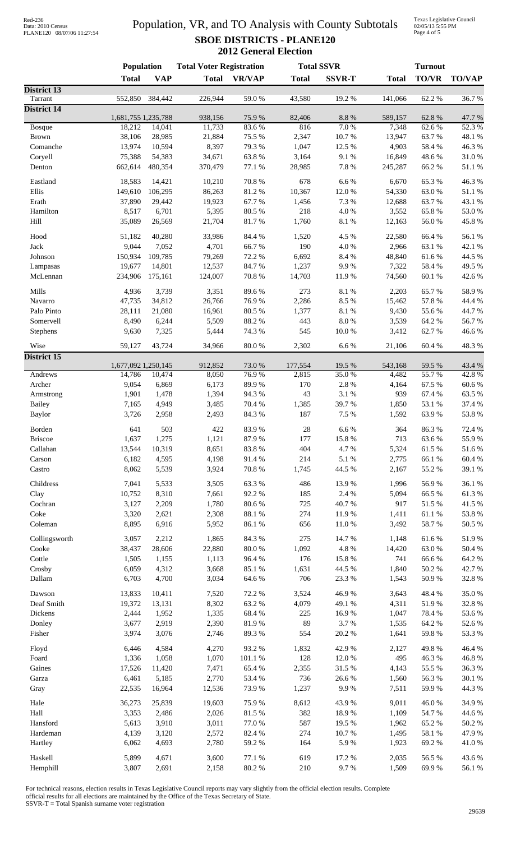| Red-236           |                            |
|-------------------|----------------------------|
| Data: 2010 Census |                            |
|                   | PLANE120 08/07/06 11:27:54 |

### Population, VR, and TO Analysis with County Subtotals **SBOE DISTRICTS - PLANE120 2012 General Election**

Texas Legislative Council 02/05/13 5:55 PM Page 4 of 5

| <b>VAP</b><br><b>VR/VAP</b><br><b>SSVR-T</b><br><b>TO/VR</b><br><b>Total</b><br><b>Total</b><br><b>Total</b><br><b>Total</b><br>District 13<br>19.2%<br>62.2%<br>Tarrant<br>552,850<br>384,442<br>226,944<br>59.0%<br>43,580<br>141,066<br><b>District 14</b><br>8.8 %<br>1,681,755 1,235,788<br>938,156<br>75.9%<br>82,406<br>589,157<br>62.8%<br>18,212<br>14,041<br>11,733<br>83.6%<br>816<br>7.0%<br>7,348<br>62.6 %<br>Bosque<br>10.7%<br>63.7%<br>38,106<br>28,985<br>21,884<br>75.5 %<br>2,347<br>13,947<br><b>Brown</b><br>13,974<br>10,594<br>8,397<br>79.3%<br>1,047<br>12.5 %<br>4,903<br>58.4%<br>Comanche<br>54,383<br>63.8%<br>9.1%<br>16,849<br>48.6%<br>Coryell<br>75,388<br>34,671<br>3,164<br>7.8 %<br>662,614<br>480,354<br>370,479<br>77.1 %<br>28,985<br>245,287<br>66.2%<br>Denton<br>14,421<br>65.3%<br>Eastland<br>18,583<br>10,210<br>70.8 %<br>678<br>6.6%<br>6,670<br>Ellis<br>106,295<br>86,263<br>81.2%<br>10,367<br>12.0%<br>63.0%<br>149,610<br>54,330<br>Erath<br>29,442<br>19,923<br>67.7%<br>7.3 %<br>63.7%<br>37,890<br>1,456<br>12,688<br>8,517<br>6,701<br>5,395<br>80.5 %<br>218<br>4.0%<br>65.8%<br>Hamilton<br>3,552<br>Hill<br>26,569<br>8.1 %<br>12,163<br>56.0%<br>35,089<br>21,704<br>81.7%<br>1,760<br>40,280<br>84.4 %<br>4.5 %<br>66.4%<br>Hood<br>51,182<br>33,986<br>1,520<br>22,580<br>Jack<br>9,044<br>7,052<br>4,701<br>66.7%<br>190<br>4.0%<br>2,966<br>63.1%<br>150,934<br>109,785<br>79,269<br>72.2 %<br>6,692<br>8.4 %<br>48,840<br>61.6%<br>Johnson<br>14,801<br>12,537<br>84.7%<br>1,237<br>9.9%<br>7,322<br>58.4 %<br>19,677<br>Lampasas<br>$70.8~\%$<br>60.1%<br>234,906<br>175,161<br>124,007<br>14,703<br>11.9%<br>74,560<br>McLennan<br>Mills<br>3,739<br>3,351<br>89.6%<br>273<br>$8.1~\%$<br>65.7%<br>4,936<br>2,203<br>34,812<br>26,766<br>76.9%<br>2,286<br>8.5%<br>15,462<br>57.8%<br>Navarro<br>47,735<br>21,080<br>80.5 %<br>1,377<br>8.1 %<br>55.6%<br>Palo Pinto<br>28,111<br>16,961<br>9,430<br>6,244<br>5,509<br>88.2 %<br>443<br>$8.0\ \%$<br>3,539<br>64.2 %<br>Somervell<br>8,490<br>7,325<br>74.3 %<br>545<br>3,412<br>62.7%<br>9,630<br>5,444<br>10.0%<br>Stephens<br>43,724<br>$80.0\;\%$<br>2,302<br>6.6%<br>Wise<br>59,127<br>34,966<br>21,106<br>60.4%<br><b>District 15</b><br>1,677,092 1,250,145<br>912,852<br>73.0%<br>177,554<br>19.5 %<br>543,168<br>59.5 %<br>76.9%<br>55.7%<br>Andrews<br>10,474<br>8,050<br>2,815<br>35.0%<br>14,786<br>4,482<br>170<br>2.8 %<br>Archer<br>9,054<br>6,869<br>6,173<br>89.9%<br>4,164<br>67.5 %<br>94.3%<br>43<br>3.1 %<br>67.4 %<br>1,901<br>1,478<br>1,394<br>939<br>Armstrong<br>39.7%<br>53.1 %<br><b>Bailey</b><br>7,165<br>4,949<br>3,485<br>70.4 %<br>1,385<br>1,850<br>187<br>7.5 %<br>63.9%<br>53.8%<br><b>Baylor</b><br>3,726<br>2,958<br>2,493<br>84.3%<br>1,592<br>503<br>$28\,$<br>422<br>83.9%<br>6.6%<br>364<br>86.3%<br>Borden<br>641<br>1,275<br>177<br>15.8 %<br><b>Briscoe</b><br>1,637<br>1,121<br>87.9%<br>713<br>63.6%<br>4.7%<br>13,544<br>10,319<br>8,651<br>83.8%<br>404<br>5,324<br>61.5%<br>Callahan<br>6,182<br>91.4%<br>214<br>5.1 %<br>2,775<br>66.1%<br>4,595<br>4,198<br>Carson<br>44.5 %<br>55.2 %<br>39.1 %<br>Castro<br>8,062<br>5,539<br>3,924<br>70.8 %<br>1,745<br>2,167<br>5,533<br>56.9%<br>Childress<br>7,041<br>3,505<br>63.3%<br>486<br>13.9%<br>1,996<br>8,310<br>185<br>2.4 %<br>66.5%<br>10,752<br>7,661<br>92.2%<br>5,094<br>Clay<br>1,780<br>80.6%<br>725<br>40.7%<br>917<br>51.5%<br>Cochran<br>3,127<br>2,209<br>274<br>61.1%<br>Coke<br>3,320<br>2,621<br>2,308<br>88.1 %<br>11.9%<br>1,411<br>Coleman<br>8,895<br>6,916<br>5,952<br>86.1%<br>656<br>11.0%<br>3,492<br>58.7%<br>50.5 %<br>2,212<br>1,865<br>84.3 %<br>275<br>14.7%<br>Collingsworth<br>3,057<br>1,148<br>61.6%<br>4.8 %<br>Cooke<br>38,437<br>28,606<br>22,880<br>$80.0\;\%$<br>1,092<br>14,420<br>63.0%<br>Cottle<br>96.4%<br>176<br>15.8%<br>66.6%<br>1,505<br>1,155<br>1,113<br>741<br>6,059<br>3,668<br>85.1 %<br>1,631<br>44.5 %<br>$50.2~\%$<br>Crosby<br>4,312<br>1,840<br>4,700<br>706<br>23.3 %<br>32.8 %<br>Dallam<br>6,703<br>3,034<br>64.6%<br>1,543<br>50.9%<br>46.9%<br>48.4%<br>Dawson<br>13,833<br>10,411<br>7,520<br>72.2 %<br>3,524<br>3,643<br>8,302<br>63.2%<br>4,079<br>49.1 %<br>Deaf Smith<br>19,372<br>13,131<br>4,311<br>51.9%<br>1,335<br>68.4%<br>$225\,$<br>16.9%<br>Dickens<br>2,444<br>1,952<br>1,047<br>78.4%<br>3,677<br>2,390<br>81.9%<br>89<br>3.7%<br>64.2%<br>Donley<br>2,919<br>1,535<br>52.6%<br>3,974<br>3,076<br>554<br>$20.2~\%$<br>53.3 %<br>Fisher<br>2,746<br>89.3%<br>1,641<br>59.8%<br>4,584<br>42.9%<br>49.8%<br>Floyd<br>6,446<br>4,270<br>93.2%<br>1,832<br>2,127<br>1,336<br>1,058<br>1,070<br>$101.1\ \%$<br>128<br>12.0%<br>495<br>46.3%<br>Foard<br>Gaines<br>65.4%<br>2,355<br>31.5 %<br>55.5 %<br>17,526<br>11,420<br>7,471<br>4,143<br>6,461<br>5,185<br>2,770<br>53.4 %<br>736<br>26.6%<br>56.3%<br>1,560<br>Garza<br>1,237<br>9.9%<br>59.9%<br>22,535<br>16,964<br>12,536<br>73.9%<br>7,511<br>Gray<br>25,839<br>Hale<br>36,273<br>19,603<br>75.9%<br>8,612<br>43.9%<br>9,011<br>46.0%<br>Hall<br>81.5 %<br>382<br>18.9%<br>54.7%<br>3,353<br>2,486<br>2,026<br>1,109<br>3,910<br>$77.0\;\%$<br>587<br>19.5 %<br>65.2%<br>Hansford<br>5,613<br>3,011<br>1,962<br>50.2%<br>2,572<br>274<br>10.7%<br>58.1 %<br>Hardeman<br>4,139<br>3,120<br>82.4 %<br>1,495<br>2,780<br>Hartley<br>6,062<br>4,693<br>59.2%<br>164<br>5.9%<br>1,923<br>69.2%<br>Haskell<br>5,899<br>4,671<br>3,600<br>619<br>17.2 %<br>56.5 %<br>77.1 %<br>2,035 | <b>Population</b> |  | <b>Total Voter Registration</b> |  | <b>Total SSVR</b> |      | <b>Turnout</b> |  |               |
|----------------------------------------------------------------------------------------------------------------------------------------------------------------------------------------------------------------------------------------------------------------------------------------------------------------------------------------------------------------------------------------------------------------------------------------------------------------------------------------------------------------------------------------------------------------------------------------------------------------------------------------------------------------------------------------------------------------------------------------------------------------------------------------------------------------------------------------------------------------------------------------------------------------------------------------------------------------------------------------------------------------------------------------------------------------------------------------------------------------------------------------------------------------------------------------------------------------------------------------------------------------------------------------------------------------------------------------------------------------------------------------------------------------------------------------------------------------------------------------------------------------------------------------------------------------------------------------------------------------------------------------------------------------------------------------------------------------------------------------------------------------------------------------------------------------------------------------------------------------------------------------------------------------------------------------------------------------------------------------------------------------------------------------------------------------------------------------------------------------------------------------------------------------------------------------------------------------------------------------------------------------------------------------------------------------------------------------------------------------------------------------------------------------------------------------------------------------------------------------------------------------------------------------------------------------------------------------------------------------------------------------------------------------------------------------------------------------------------------------------------------------------------------------------------------------------------------------------------------------------------------------------------------------------------------------------------------------------------------------------------------------------------------------------------------------------------------------------------------------------------------------------------------------------------------------------------------------------------------------------------------------------------------------------------------------------------------------------------------------------------------------------------------------------------------------------------------------------------------------------------------------------------------------------------------------------------------------------------------------------------------------------------------------------------------------------------------------------------------------------------------------------------------------------------------------------------------------------------------------------------------------------------------------------------------------------------------------------------------------------------------------------------------------------------------------------------------------------------------------------------------------------------------------------------------------------------------------------------------------------------------------------------------------------------------------------------------------------------------------------------------------------------------------------------------------------------------------------------------------------------------------------------------------------------------------------------------------------------------------------------------------------------------------------------------------------------------------------------------------------------------------------------------------------------------------------------------------------------------------------------------------------------------------------------------------------------------------------------------------------------------------------------------------------------------------------------------------------------------------------------------------------------------------------------------------------------------------------------------------------------------------------------------------------------------------------------------------------------------------------------------------------------------------------------------------------------------------------------------------------------------------------------------------|-------------------|--|---------------------------------|--|-------------------|------|----------------|--|---------------|
|                                                                                                                                                                                                                                                                                                                                                                                                                                                                                                                                                                                                                                                                                                                                                                                                                                                                                                                                                                                                                                                                                                                                                                                                                                                                                                                                                                                                                                                                                                                                                                                                                                                                                                                                                                                                                                                                                                                                                                                                                                                                                                                                                                                                                                                                                                                                                                                                                                                                                                                                                                                                                                                                                                                                                                                                                                                                                                                                                                                                                                                                                                                                                                                                                                                                                                                                                                                                                                                                                                                                                                                                                                                                                                                                                                                                                                                                                                                                                                                                                                                                                                                                                                                                                                                                                                                                                                                                                                                                                                                                                                                                                                                                                                                                                                                                                                                                                                                                                                                                                                                                                                                                                                                                                                                                                                                                                                                                                                                                                                                                        |                   |  |                                 |  |                   |      |                |  | <b>TO/VAP</b> |
|                                                                                                                                                                                                                                                                                                                                                                                                                                                                                                                                                                                                                                                                                                                                                                                                                                                                                                                                                                                                                                                                                                                                                                                                                                                                                                                                                                                                                                                                                                                                                                                                                                                                                                                                                                                                                                                                                                                                                                                                                                                                                                                                                                                                                                                                                                                                                                                                                                                                                                                                                                                                                                                                                                                                                                                                                                                                                                                                                                                                                                                                                                                                                                                                                                                                                                                                                                                                                                                                                                                                                                                                                                                                                                                                                                                                                                                                                                                                                                                                                                                                                                                                                                                                                                                                                                                                                                                                                                                                                                                                                                                                                                                                                                                                                                                                                                                                                                                                                                                                                                                                                                                                                                                                                                                                                                                                                                                                                                                                                                                                        |                   |  |                                 |  |                   |      |                |  |               |
|                                                                                                                                                                                                                                                                                                                                                                                                                                                                                                                                                                                                                                                                                                                                                                                                                                                                                                                                                                                                                                                                                                                                                                                                                                                                                                                                                                                                                                                                                                                                                                                                                                                                                                                                                                                                                                                                                                                                                                                                                                                                                                                                                                                                                                                                                                                                                                                                                                                                                                                                                                                                                                                                                                                                                                                                                                                                                                                                                                                                                                                                                                                                                                                                                                                                                                                                                                                                                                                                                                                                                                                                                                                                                                                                                                                                                                                                                                                                                                                                                                                                                                                                                                                                                                                                                                                                                                                                                                                                                                                                                                                                                                                                                                                                                                                                                                                                                                                                                                                                                                                                                                                                                                                                                                                                                                                                                                                                                                                                                                                                        |                   |  |                                 |  |                   |      |                |  | 36.7%         |
|                                                                                                                                                                                                                                                                                                                                                                                                                                                                                                                                                                                                                                                                                                                                                                                                                                                                                                                                                                                                                                                                                                                                                                                                                                                                                                                                                                                                                                                                                                                                                                                                                                                                                                                                                                                                                                                                                                                                                                                                                                                                                                                                                                                                                                                                                                                                                                                                                                                                                                                                                                                                                                                                                                                                                                                                                                                                                                                                                                                                                                                                                                                                                                                                                                                                                                                                                                                                                                                                                                                                                                                                                                                                                                                                                                                                                                                                                                                                                                                                                                                                                                                                                                                                                                                                                                                                                                                                                                                                                                                                                                                                                                                                                                                                                                                                                                                                                                                                                                                                                                                                                                                                                                                                                                                                                                                                                                                                                                                                                                                                        |                   |  |                                 |  |                   |      |                |  | 47.7%         |
|                                                                                                                                                                                                                                                                                                                                                                                                                                                                                                                                                                                                                                                                                                                                                                                                                                                                                                                                                                                                                                                                                                                                                                                                                                                                                                                                                                                                                                                                                                                                                                                                                                                                                                                                                                                                                                                                                                                                                                                                                                                                                                                                                                                                                                                                                                                                                                                                                                                                                                                                                                                                                                                                                                                                                                                                                                                                                                                                                                                                                                                                                                                                                                                                                                                                                                                                                                                                                                                                                                                                                                                                                                                                                                                                                                                                                                                                                                                                                                                                                                                                                                                                                                                                                                                                                                                                                                                                                                                                                                                                                                                                                                                                                                                                                                                                                                                                                                                                                                                                                                                                                                                                                                                                                                                                                                                                                                                                                                                                                                                                        |                   |  |                                 |  |                   |      |                |  | 52.3%         |
|                                                                                                                                                                                                                                                                                                                                                                                                                                                                                                                                                                                                                                                                                                                                                                                                                                                                                                                                                                                                                                                                                                                                                                                                                                                                                                                                                                                                                                                                                                                                                                                                                                                                                                                                                                                                                                                                                                                                                                                                                                                                                                                                                                                                                                                                                                                                                                                                                                                                                                                                                                                                                                                                                                                                                                                                                                                                                                                                                                                                                                                                                                                                                                                                                                                                                                                                                                                                                                                                                                                                                                                                                                                                                                                                                                                                                                                                                                                                                                                                                                                                                                                                                                                                                                                                                                                                                                                                                                                                                                                                                                                                                                                                                                                                                                                                                                                                                                                                                                                                                                                                                                                                                                                                                                                                                                                                                                                                                                                                                                                                        |                   |  |                                 |  |                   |      |                |  | 48.1 %        |
|                                                                                                                                                                                                                                                                                                                                                                                                                                                                                                                                                                                                                                                                                                                                                                                                                                                                                                                                                                                                                                                                                                                                                                                                                                                                                                                                                                                                                                                                                                                                                                                                                                                                                                                                                                                                                                                                                                                                                                                                                                                                                                                                                                                                                                                                                                                                                                                                                                                                                                                                                                                                                                                                                                                                                                                                                                                                                                                                                                                                                                                                                                                                                                                                                                                                                                                                                                                                                                                                                                                                                                                                                                                                                                                                                                                                                                                                                                                                                                                                                                                                                                                                                                                                                                                                                                                                                                                                                                                                                                                                                                                                                                                                                                                                                                                                                                                                                                                                                                                                                                                                                                                                                                                                                                                                                                                                                                                                                                                                                                                                        |                   |  |                                 |  |                   |      |                |  | 46.3%         |
|                                                                                                                                                                                                                                                                                                                                                                                                                                                                                                                                                                                                                                                                                                                                                                                                                                                                                                                                                                                                                                                                                                                                                                                                                                                                                                                                                                                                                                                                                                                                                                                                                                                                                                                                                                                                                                                                                                                                                                                                                                                                                                                                                                                                                                                                                                                                                                                                                                                                                                                                                                                                                                                                                                                                                                                                                                                                                                                                                                                                                                                                                                                                                                                                                                                                                                                                                                                                                                                                                                                                                                                                                                                                                                                                                                                                                                                                                                                                                                                                                                                                                                                                                                                                                                                                                                                                                                                                                                                                                                                                                                                                                                                                                                                                                                                                                                                                                                                                                                                                                                                                                                                                                                                                                                                                                                                                                                                                                                                                                                                                        |                   |  |                                 |  |                   |      |                |  | 31.0%         |
|                                                                                                                                                                                                                                                                                                                                                                                                                                                                                                                                                                                                                                                                                                                                                                                                                                                                                                                                                                                                                                                                                                                                                                                                                                                                                                                                                                                                                                                                                                                                                                                                                                                                                                                                                                                                                                                                                                                                                                                                                                                                                                                                                                                                                                                                                                                                                                                                                                                                                                                                                                                                                                                                                                                                                                                                                                                                                                                                                                                                                                                                                                                                                                                                                                                                                                                                                                                                                                                                                                                                                                                                                                                                                                                                                                                                                                                                                                                                                                                                                                                                                                                                                                                                                                                                                                                                                                                                                                                                                                                                                                                                                                                                                                                                                                                                                                                                                                                                                                                                                                                                                                                                                                                                                                                                                                                                                                                                                                                                                                                                        |                   |  |                                 |  |                   |      |                |  | 51.1%         |
|                                                                                                                                                                                                                                                                                                                                                                                                                                                                                                                                                                                                                                                                                                                                                                                                                                                                                                                                                                                                                                                                                                                                                                                                                                                                                                                                                                                                                                                                                                                                                                                                                                                                                                                                                                                                                                                                                                                                                                                                                                                                                                                                                                                                                                                                                                                                                                                                                                                                                                                                                                                                                                                                                                                                                                                                                                                                                                                                                                                                                                                                                                                                                                                                                                                                                                                                                                                                                                                                                                                                                                                                                                                                                                                                                                                                                                                                                                                                                                                                                                                                                                                                                                                                                                                                                                                                                                                                                                                                                                                                                                                                                                                                                                                                                                                                                                                                                                                                                                                                                                                                                                                                                                                                                                                                                                                                                                                                                                                                                                                                        |                   |  |                                 |  |                   |      |                |  |               |
|                                                                                                                                                                                                                                                                                                                                                                                                                                                                                                                                                                                                                                                                                                                                                                                                                                                                                                                                                                                                                                                                                                                                                                                                                                                                                                                                                                                                                                                                                                                                                                                                                                                                                                                                                                                                                                                                                                                                                                                                                                                                                                                                                                                                                                                                                                                                                                                                                                                                                                                                                                                                                                                                                                                                                                                                                                                                                                                                                                                                                                                                                                                                                                                                                                                                                                                                                                                                                                                                                                                                                                                                                                                                                                                                                                                                                                                                                                                                                                                                                                                                                                                                                                                                                                                                                                                                                                                                                                                                                                                                                                                                                                                                                                                                                                                                                                                                                                                                                                                                                                                                                                                                                                                                                                                                                                                                                                                                                                                                                                                                        |                   |  |                                 |  |                   |      |                |  | 46.3%         |
|                                                                                                                                                                                                                                                                                                                                                                                                                                                                                                                                                                                                                                                                                                                                                                                                                                                                                                                                                                                                                                                                                                                                                                                                                                                                                                                                                                                                                                                                                                                                                                                                                                                                                                                                                                                                                                                                                                                                                                                                                                                                                                                                                                                                                                                                                                                                                                                                                                                                                                                                                                                                                                                                                                                                                                                                                                                                                                                                                                                                                                                                                                                                                                                                                                                                                                                                                                                                                                                                                                                                                                                                                                                                                                                                                                                                                                                                                                                                                                                                                                                                                                                                                                                                                                                                                                                                                                                                                                                                                                                                                                                                                                                                                                                                                                                                                                                                                                                                                                                                                                                                                                                                                                                                                                                                                                                                                                                                                                                                                                                                        |                   |  |                                 |  |                   |      |                |  | $51.1\ \%$    |
|                                                                                                                                                                                                                                                                                                                                                                                                                                                                                                                                                                                                                                                                                                                                                                                                                                                                                                                                                                                                                                                                                                                                                                                                                                                                                                                                                                                                                                                                                                                                                                                                                                                                                                                                                                                                                                                                                                                                                                                                                                                                                                                                                                                                                                                                                                                                                                                                                                                                                                                                                                                                                                                                                                                                                                                                                                                                                                                                                                                                                                                                                                                                                                                                                                                                                                                                                                                                                                                                                                                                                                                                                                                                                                                                                                                                                                                                                                                                                                                                                                                                                                                                                                                                                                                                                                                                                                                                                                                                                                                                                                                                                                                                                                                                                                                                                                                                                                                                                                                                                                                                                                                                                                                                                                                                                                                                                                                                                                                                                                                                        |                   |  |                                 |  |                   |      |                |  | 43.1 %        |
|                                                                                                                                                                                                                                                                                                                                                                                                                                                                                                                                                                                                                                                                                                                                                                                                                                                                                                                                                                                                                                                                                                                                                                                                                                                                                                                                                                                                                                                                                                                                                                                                                                                                                                                                                                                                                                                                                                                                                                                                                                                                                                                                                                                                                                                                                                                                                                                                                                                                                                                                                                                                                                                                                                                                                                                                                                                                                                                                                                                                                                                                                                                                                                                                                                                                                                                                                                                                                                                                                                                                                                                                                                                                                                                                                                                                                                                                                                                                                                                                                                                                                                                                                                                                                                                                                                                                                                                                                                                                                                                                                                                                                                                                                                                                                                                                                                                                                                                                                                                                                                                                                                                                                                                                                                                                                                                                                                                                                                                                                                                                        |                   |  |                                 |  |                   |      |                |  | 53.0%         |
|                                                                                                                                                                                                                                                                                                                                                                                                                                                                                                                                                                                                                                                                                                                                                                                                                                                                                                                                                                                                                                                                                                                                                                                                                                                                                                                                                                                                                                                                                                                                                                                                                                                                                                                                                                                                                                                                                                                                                                                                                                                                                                                                                                                                                                                                                                                                                                                                                                                                                                                                                                                                                                                                                                                                                                                                                                                                                                                                                                                                                                                                                                                                                                                                                                                                                                                                                                                                                                                                                                                                                                                                                                                                                                                                                                                                                                                                                                                                                                                                                                                                                                                                                                                                                                                                                                                                                                                                                                                                                                                                                                                                                                                                                                                                                                                                                                                                                                                                                                                                                                                                                                                                                                                                                                                                                                                                                                                                                                                                                                                                        |                   |  |                                 |  |                   |      |                |  | 45.8%         |
|                                                                                                                                                                                                                                                                                                                                                                                                                                                                                                                                                                                                                                                                                                                                                                                                                                                                                                                                                                                                                                                                                                                                                                                                                                                                                                                                                                                                                                                                                                                                                                                                                                                                                                                                                                                                                                                                                                                                                                                                                                                                                                                                                                                                                                                                                                                                                                                                                                                                                                                                                                                                                                                                                                                                                                                                                                                                                                                                                                                                                                                                                                                                                                                                                                                                                                                                                                                                                                                                                                                                                                                                                                                                                                                                                                                                                                                                                                                                                                                                                                                                                                                                                                                                                                                                                                                                                                                                                                                                                                                                                                                                                                                                                                                                                                                                                                                                                                                                                                                                                                                                                                                                                                                                                                                                                                                                                                                                                                                                                                                                        |                   |  |                                 |  |                   |      |                |  |               |
|                                                                                                                                                                                                                                                                                                                                                                                                                                                                                                                                                                                                                                                                                                                                                                                                                                                                                                                                                                                                                                                                                                                                                                                                                                                                                                                                                                                                                                                                                                                                                                                                                                                                                                                                                                                                                                                                                                                                                                                                                                                                                                                                                                                                                                                                                                                                                                                                                                                                                                                                                                                                                                                                                                                                                                                                                                                                                                                                                                                                                                                                                                                                                                                                                                                                                                                                                                                                                                                                                                                                                                                                                                                                                                                                                                                                                                                                                                                                                                                                                                                                                                                                                                                                                                                                                                                                                                                                                                                                                                                                                                                                                                                                                                                                                                                                                                                                                                                                                                                                                                                                                                                                                                                                                                                                                                                                                                                                                                                                                                                                        |                   |  |                                 |  |                   |      |                |  | 56.1 %        |
|                                                                                                                                                                                                                                                                                                                                                                                                                                                                                                                                                                                                                                                                                                                                                                                                                                                                                                                                                                                                                                                                                                                                                                                                                                                                                                                                                                                                                                                                                                                                                                                                                                                                                                                                                                                                                                                                                                                                                                                                                                                                                                                                                                                                                                                                                                                                                                                                                                                                                                                                                                                                                                                                                                                                                                                                                                                                                                                                                                                                                                                                                                                                                                                                                                                                                                                                                                                                                                                                                                                                                                                                                                                                                                                                                                                                                                                                                                                                                                                                                                                                                                                                                                                                                                                                                                                                                                                                                                                                                                                                                                                                                                                                                                                                                                                                                                                                                                                                                                                                                                                                                                                                                                                                                                                                                                                                                                                                                                                                                                                                        |                   |  |                                 |  |                   |      |                |  | 42.1 %        |
|                                                                                                                                                                                                                                                                                                                                                                                                                                                                                                                                                                                                                                                                                                                                                                                                                                                                                                                                                                                                                                                                                                                                                                                                                                                                                                                                                                                                                                                                                                                                                                                                                                                                                                                                                                                                                                                                                                                                                                                                                                                                                                                                                                                                                                                                                                                                                                                                                                                                                                                                                                                                                                                                                                                                                                                                                                                                                                                                                                                                                                                                                                                                                                                                                                                                                                                                                                                                                                                                                                                                                                                                                                                                                                                                                                                                                                                                                                                                                                                                                                                                                                                                                                                                                                                                                                                                                                                                                                                                                                                                                                                                                                                                                                                                                                                                                                                                                                                                                                                                                                                                                                                                                                                                                                                                                                                                                                                                                                                                                                                                        |                   |  |                                 |  |                   |      |                |  | 44.5 %        |
|                                                                                                                                                                                                                                                                                                                                                                                                                                                                                                                                                                                                                                                                                                                                                                                                                                                                                                                                                                                                                                                                                                                                                                                                                                                                                                                                                                                                                                                                                                                                                                                                                                                                                                                                                                                                                                                                                                                                                                                                                                                                                                                                                                                                                                                                                                                                                                                                                                                                                                                                                                                                                                                                                                                                                                                                                                                                                                                                                                                                                                                                                                                                                                                                                                                                                                                                                                                                                                                                                                                                                                                                                                                                                                                                                                                                                                                                                                                                                                                                                                                                                                                                                                                                                                                                                                                                                                                                                                                                                                                                                                                                                                                                                                                                                                                                                                                                                                                                                                                                                                                                                                                                                                                                                                                                                                                                                                                                                                                                                                                                        |                   |  |                                 |  |                   |      |                |  | 49.5 %        |
|                                                                                                                                                                                                                                                                                                                                                                                                                                                                                                                                                                                                                                                                                                                                                                                                                                                                                                                                                                                                                                                                                                                                                                                                                                                                                                                                                                                                                                                                                                                                                                                                                                                                                                                                                                                                                                                                                                                                                                                                                                                                                                                                                                                                                                                                                                                                                                                                                                                                                                                                                                                                                                                                                                                                                                                                                                                                                                                                                                                                                                                                                                                                                                                                                                                                                                                                                                                                                                                                                                                                                                                                                                                                                                                                                                                                                                                                                                                                                                                                                                                                                                                                                                                                                                                                                                                                                                                                                                                                                                                                                                                                                                                                                                                                                                                                                                                                                                                                                                                                                                                                                                                                                                                                                                                                                                                                                                                                                                                                                                                                        |                   |  |                                 |  |                   |      |                |  | 42.6%         |
|                                                                                                                                                                                                                                                                                                                                                                                                                                                                                                                                                                                                                                                                                                                                                                                                                                                                                                                                                                                                                                                                                                                                                                                                                                                                                                                                                                                                                                                                                                                                                                                                                                                                                                                                                                                                                                                                                                                                                                                                                                                                                                                                                                                                                                                                                                                                                                                                                                                                                                                                                                                                                                                                                                                                                                                                                                                                                                                                                                                                                                                                                                                                                                                                                                                                                                                                                                                                                                                                                                                                                                                                                                                                                                                                                                                                                                                                                                                                                                                                                                                                                                                                                                                                                                                                                                                                                                                                                                                                                                                                                                                                                                                                                                                                                                                                                                                                                                                                                                                                                                                                                                                                                                                                                                                                                                                                                                                                                                                                                                                                        |                   |  |                                 |  |                   |      |                |  |               |
|                                                                                                                                                                                                                                                                                                                                                                                                                                                                                                                                                                                                                                                                                                                                                                                                                                                                                                                                                                                                                                                                                                                                                                                                                                                                                                                                                                                                                                                                                                                                                                                                                                                                                                                                                                                                                                                                                                                                                                                                                                                                                                                                                                                                                                                                                                                                                                                                                                                                                                                                                                                                                                                                                                                                                                                                                                                                                                                                                                                                                                                                                                                                                                                                                                                                                                                                                                                                                                                                                                                                                                                                                                                                                                                                                                                                                                                                                                                                                                                                                                                                                                                                                                                                                                                                                                                                                                                                                                                                                                                                                                                                                                                                                                                                                                                                                                                                                                                                                                                                                                                                                                                                                                                                                                                                                                                                                                                                                                                                                                                                        |                   |  |                                 |  |                   |      |                |  | 58.9%         |
|                                                                                                                                                                                                                                                                                                                                                                                                                                                                                                                                                                                                                                                                                                                                                                                                                                                                                                                                                                                                                                                                                                                                                                                                                                                                                                                                                                                                                                                                                                                                                                                                                                                                                                                                                                                                                                                                                                                                                                                                                                                                                                                                                                                                                                                                                                                                                                                                                                                                                                                                                                                                                                                                                                                                                                                                                                                                                                                                                                                                                                                                                                                                                                                                                                                                                                                                                                                                                                                                                                                                                                                                                                                                                                                                                                                                                                                                                                                                                                                                                                                                                                                                                                                                                                                                                                                                                                                                                                                                                                                                                                                                                                                                                                                                                                                                                                                                                                                                                                                                                                                                                                                                                                                                                                                                                                                                                                                                                                                                                                                                        |                   |  |                                 |  |                   |      |                |  | 44.4 %        |
|                                                                                                                                                                                                                                                                                                                                                                                                                                                                                                                                                                                                                                                                                                                                                                                                                                                                                                                                                                                                                                                                                                                                                                                                                                                                                                                                                                                                                                                                                                                                                                                                                                                                                                                                                                                                                                                                                                                                                                                                                                                                                                                                                                                                                                                                                                                                                                                                                                                                                                                                                                                                                                                                                                                                                                                                                                                                                                                                                                                                                                                                                                                                                                                                                                                                                                                                                                                                                                                                                                                                                                                                                                                                                                                                                                                                                                                                                                                                                                                                                                                                                                                                                                                                                                                                                                                                                                                                                                                                                                                                                                                                                                                                                                                                                                                                                                                                                                                                                                                                                                                                                                                                                                                                                                                                                                                                                                                                                                                                                                                                        |                   |  |                                 |  |                   |      |                |  | 44.7%         |
|                                                                                                                                                                                                                                                                                                                                                                                                                                                                                                                                                                                                                                                                                                                                                                                                                                                                                                                                                                                                                                                                                                                                                                                                                                                                                                                                                                                                                                                                                                                                                                                                                                                                                                                                                                                                                                                                                                                                                                                                                                                                                                                                                                                                                                                                                                                                                                                                                                                                                                                                                                                                                                                                                                                                                                                                                                                                                                                                                                                                                                                                                                                                                                                                                                                                                                                                                                                                                                                                                                                                                                                                                                                                                                                                                                                                                                                                                                                                                                                                                                                                                                                                                                                                                                                                                                                                                                                                                                                                                                                                                                                                                                                                                                                                                                                                                                                                                                                                                                                                                                                                                                                                                                                                                                                                                                                                                                                                                                                                                                                                        |                   |  |                                 |  |                   |      |                |  | 56.7%         |
|                                                                                                                                                                                                                                                                                                                                                                                                                                                                                                                                                                                                                                                                                                                                                                                                                                                                                                                                                                                                                                                                                                                                                                                                                                                                                                                                                                                                                                                                                                                                                                                                                                                                                                                                                                                                                                                                                                                                                                                                                                                                                                                                                                                                                                                                                                                                                                                                                                                                                                                                                                                                                                                                                                                                                                                                                                                                                                                                                                                                                                                                                                                                                                                                                                                                                                                                                                                                                                                                                                                                                                                                                                                                                                                                                                                                                                                                                                                                                                                                                                                                                                                                                                                                                                                                                                                                                                                                                                                                                                                                                                                                                                                                                                                                                                                                                                                                                                                                                                                                                                                                                                                                                                                                                                                                                                                                                                                                                                                                                                                                        |                   |  |                                 |  |                   |      |                |  | 46.6%         |
|                                                                                                                                                                                                                                                                                                                                                                                                                                                                                                                                                                                                                                                                                                                                                                                                                                                                                                                                                                                                                                                                                                                                                                                                                                                                                                                                                                                                                                                                                                                                                                                                                                                                                                                                                                                                                                                                                                                                                                                                                                                                                                                                                                                                                                                                                                                                                                                                                                                                                                                                                                                                                                                                                                                                                                                                                                                                                                                                                                                                                                                                                                                                                                                                                                                                                                                                                                                                                                                                                                                                                                                                                                                                                                                                                                                                                                                                                                                                                                                                                                                                                                                                                                                                                                                                                                                                                                                                                                                                                                                                                                                                                                                                                                                                                                                                                                                                                                                                                                                                                                                                                                                                                                                                                                                                                                                                                                                                                                                                                                                                        |                   |  |                                 |  |                   |      |                |  |               |
|                                                                                                                                                                                                                                                                                                                                                                                                                                                                                                                                                                                                                                                                                                                                                                                                                                                                                                                                                                                                                                                                                                                                                                                                                                                                                                                                                                                                                                                                                                                                                                                                                                                                                                                                                                                                                                                                                                                                                                                                                                                                                                                                                                                                                                                                                                                                                                                                                                                                                                                                                                                                                                                                                                                                                                                                                                                                                                                                                                                                                                                                                                                                                                                                                                                                                                                                                                                                                                                                                                                                                                                                                                                                                                                                                                                                                                                                                                                                                                                                                                                                                                                                                                                                                                                                                                                                                                                                                                                                                                                                                                                                                                                                                                                                                                                                                                                                                                                                                                                                                                                                                                                                                                                                                                                                                                                                                                                                                                                                                                                                        |                   |  |                                 |  |                   |      |                |  | 48.3%         |
|                                                                                                                                                                                                                                                                                                                                                                                                                                                                                                                                                                                                                                                                                                                                                                                                                                                                                                                                                                                                                                                                                                                                                                                                                                                                                                                                                                                                                                                                                                                                                                                                                                                                                                                                                                                                                                                                                                                                                                                                                                                                                                                                                                                                                                                                                                                                                                                                                                                                                                                                                                                                                                                                                                                                                                                                                                                                                                                                                                                                                                                                                                                                                                                                                                                                                                                                                                                                                                                                                                                                                                                                                                                                                                                                                                                                                                                                                                                                                                                                                                                                                                                                                                                                                                                                                                                                                                                                                                                                                                                                                                                                                                                                                                                                                                                                                                                                                                                                                                                                                                                                                                                                                                                                                                                                                                                                                                                                                                                                                                                                        |                   |  |                                 |  |                   |      |                |  |               |
|                                                                                                                                                                                                                                                                                                                                                                                                                                                                                                                                                                                                                                                                                                                                                                                                                                                                                                                                                                                                                                                                                                                                                                                                                                                                                                                                                                                                                                                                                                                                                                                                                                                                                                                                                                                                                                                                                                                                                                                                                                                                                                                                                                                                                                                                                                                                                                                                                                                                                                                                                                                                                                                                                                                                                                                                                                                                                                                                                                                                                                                                                                                                                                                                                                                                                                                                                                                                                                                                                                                                                                                                                                                                                                                                                                                                                                                                                                                                                                                                                                                                                                                                                                                                                                                                                                                                                                                                                                                                                                                                                                                                                                                                                                                                                                                                                                                                                                                                                                                                                                                                                                                                                                                                                                                                                                                                                                                                                                                                                                                                        |                   |  |                                 |  |                   |      |                |  | 43.4 %        |
|                                                                                                                                                                                                                                                                                                                                                                                                                                                                                                                                                                                                                                                                                                                                                                                                                                                                                                                                                                                                                                                                                                                                                                                                                                                                                                                                                                                                                                                                                                                                                                                                                                                                                                                                                                                                                                                                                                                                                                                                                                                                                                                                                                                                                                                                                                                                                                                                                                                                                                                                                                                                                                                                                                                                                                                                                                                                                                                                                                                                                                                                                                                                                                                                                                                                                                                                                                                                                                                                                                                                                                                                                                                                                                                                                                                                                                                                                                                                                                                                                                                                                                                                                                                                                                                                                                                                                                                                                                                                                                                                                                                                                                                                                                                                                                                                                                                                                                                                                                                                                                                                                                                                                                                                                                                                                                                                                                                                                                                                                                                                        |                   |  |                                 |  |                   |      |                |  | 42.8%         |
|                                                                                                                                                                                                                                                                                                                                                                                                                                                                                                                                                                                                                                                                                                                                                                                                                                                                                                                                                                                                                                                                                                                                                                                                                                                                                                                                                                                                                                                                                                                                                                                                                                                                                                                                                                                                                                                                                                                                                                                                                                                                                                                                                                                                                                                                                                                                                                                                                                                                                                                                                                                                                                                                                                                                                                                                                                                                                                                                                                                                                                                                                                                                                                                                                                                                                                                                                                                                                                                                                                                                                                                                                                                                                                                                                                                                                                                                                                                                                                                                                                                                                                                                                                                                                                                                                                                                                                                                                                                                                                                                                                                                                                                                                                                                                                                                                                                                                                                                                                                                                                                                                                                                                                                                                                                                                                                                                                                                                                                                                                                                        |                   |  |                                 |  |                   |      |                |  | 60.6%         |
|                                                                                                                                                                                                                                                                                                                                                                                                                                                                                                                                                                                                                                                                                                                                                                                                                                                                                                                                                                                                                                                                                                                                                                                                                                                                                                                                                                                                                                                                                                                                                                                                                                                                                                                                                                                                                                                                                                                                                                                                                                                                                                                                                                                                                                                                                                                                                                                                                                                                                                                                                                                                                                                                                                                                                                                                                                                                                                                                                                                                                                                                                                                                                                                                                                                                                                                                                                                                                                                                                                                                                                                                                                                                                                                                                                                                                                                                                                                                                                                                                                                                                                                                                                                                                                                                                                                                                                                                                                                                                                                                                                                                                                                                                                                                                                                                                                                                                                                                                                                                                                                                                                                                                                                                                                                                                                                                                                                                                                                                                                                                        |                   |  |                                 |  |                   |      |                |  | 63.5%         |
|                                                                                                                                                                                                                                                                                                                                                                                                                                                                                                                                                                                                                                                                                                                                                                                                                                                                                                                                                                                                                                                                                                                                                                                                                                                                                                                                                                                                                                                                                                                                                                                                                                                                                                                                                                                                                                                                                                                                                                                                                                                                                                                                                                                                                                                                                                                                                                                                                                                                                                                                                                                                                                                                                                                                                                                                                                                                                                                                                                                                                                                                                                                                                                                                                                                                                                                                                                                                                                                                                                                                                                                                                                                                                                                                                                                                                                                                                                                                                                                                                                                                                                                                                                                                                                                                                                                                                                                                                                                                                                                                                                                                                                                                                                                                                                                                                                                                                                                                                                                                                                                                                                                                                                                                                                                                                                                                                                                                                                                                                                                                        |                   |  |                                 |  |                   |      |                |  | 37.4 %        |
|                                                                                                                                                                                                                                                                                                                                                                                                                                                                                                                                                                                                                                                                                                                                                                                                                                                                                                                                                                                                                                                                                                                                                                                                                                                                                                                                                                                                                                                                                                                                                                                                                                                                                                                                                                                                                                                                                                                                                                                                                                                                                                                                                                                                                                                                                                                                                                                                                                                                                                                                                                                                                                                                                                                                                                                                                                                                                                                                                                                                                                                                                                                                                                                                                                                                                                                                                                                                                                                                                                                                                                                                                                                                                                                                                                                                                                                                                                                                                                                                                                                                                                                                                                                                                                                                                                                                                                                                                                                                                                                                                                                                                                                                                                                                                                                                                                                                                                                                                                                                                                                                                                                                                                                                                                                                                                                                                                                                                                                                                                                                        |                   |  |                                 |  |                   |      |                |  |               |
|                                                                                                                                                                                                                                                                                                                                                                                                                                                                                                                                                                                                                                                                                                                                                                                                                                                                                                                                                                                                                                                                                                                                                                                                                                                                                                                                                                                                                                                                                                                                                                                                                                                                                                                                                                                                                                                                                                                                                                                                                                                                                                                                                                                                                                                                                                                                                                                                                                                                                                                                                                                                                                                                                                                                                                                                                                                                                                                                                                                                                                                                                                                                                                                                                                                                                                                                                                                                                                                                                                                                                                                                                                                                                                                                                                                                                                                                                                                                                                                                                                                                                                                                                                                                                                                                                                                                                                                                                                                                                                                                                                                                                                                                                                                                                                                                                                                                                                                                                                                                                                                                                                                                                                                                                                                                                                                                                                                                                                                                                                                                        |                   |  |                                 |  |                   |      |                |  |               |
|                                                                                                                                                                                                                                                                                                                                                                                                                                                                                                                                                                                                                                                                                                                                                                                                                                                                                                                                                                                                                                                                                                                                                                                                                                                                                                                                                                                                                                                                                                                                                                                                                                                                                                                                                                                                                                                                                                                                                                                                                                                                                                                                                                                                                                                                                                                                                                                                                                                                                                                                                                                                                                                                                                                                                                                                                                                                                                                                                                                                                                                                                                                                                                                                                                                                                                                                                                                                                                                                                                                                                                                                                                                                                                                                                                                                                                                                                                                                                                                                                                                                                                                                                                                                                                                                                                                                                                                                                                                                                                                                                                                                                                                                                                                                                                                                                                                                                                                                                                                                                                                                                                                                                                                                                                                                                                                                                                                                                                                                                                                                        |                   |  |                                 |  |                   |      |                |  | 72.4 %        |
|                                                                                                                                                                                                                                                                                                                                                                                                                                                                                                                                                                                                                                                                                                                                                                                                                                                                                                                                                                                                                                                                                                                                                                                                                                                                                                                                                                                                                                                                                                                                                                                                                                                                                                                                                                                                                                                                                                                                                                                                                                                                                                                                                                                                                                                                                                                                                                                                                                                                                                                                                                                                                                                                                                                                                                                                                                                                                                                                                                                                                                                                                                                                                                                                                                                                                                                                                                                                                                                                                                                                                                                                                                                                                                                                                                                                                                                                                                                                                                                                                                                                                                                                                                                                                                                                                                                                                                                                                                                                                                                                                                                                                                                                                                                                                                                                                                                                                                                                                                                                                                                                                                                                                                                                                                                                                                                                                                                                                                                                                                                                        |                   |  |                                 |  |                   |      |                |  | 55.9%         |
|                                                                                                                                                                                                                                                                                                                                                                                                                                                                                                                                                                                                                                                                                                                                                                                                                                                                                                                                                                                                                                                                                                                                                                                                                                                                                                                                                                                                                                                                                                                                                                                                                                                                                                                                                                                                                                                                                                                                                                                                                                                                                                                                                                                                                                                                                                                                                                                                                                                                                                                                                                                                                                                                                                                                                                                                                                                                                                                                                                                                                                                                                                                                                                                                                                                                                                                                                                                                                                                                                                                                                                                                                                                                                                                                                                                                                                                                                                                                                                                                                                                                                                                                                                                                                                                                                                                                                                                                                                                                                                                                                                                                                                                                                                                                                                                                                                                                                                                                                                                                                                                                                                                                                                                                                                                                                                                                                                                                                                                                                                                                        |                   |  |                                 |  |                   |      |                |  | 51.6%         |
|                                                                                                                                                                                                                                                                                                                                                                                                                                                                                                                                                                                                                                                                                                                                                                                                                                                                                                                                                                                                                                                                                                                                                                                                                                                                                                                                                                                                                                                                                                                                                                                                                                                                                                                                                                                                                                                                                                                                                                                                                                                                                                                                                                                                                                                                                                                                                                                                                                                                                                                                                                                                                                                                                                                                                                                                                                                                                                                                                                                                                                                                                                                                                                                                                                                                                                                                                                                                                                                                                                                                                                                                                                                                                                                                                                                                                                                                                                                                                                                                                                                                                                                                                                                                                                                                                                                                                                                                                                                                                                                                                                                                                                                                                                                                                                                                                                                                                                                                                                                                                                                                                                                                                                                                                                                                                                                                                                                                                                                                                                                                        |                   |  |                                 |  |                   |      |                |  | $60.4~\%$     |
|                                                                                                                                                                                                                                                                                                                                                                                                                                                                                                                                                                                                                                                                                                                                                                                                                                                                                                                                                                                                                                                                                                                                                                                                                                                                                                                                                                                                                                                                                                                                                                                                                                                                                                                                                                                                                                                                                                                                                                                                                                                                                                                                                                                                                                                                                                                                                                                                                                                                                                                                                                                                                                                                                                                                                                                                                                                                                                                                                                                                                                                                                                                                                                                                                                                                                                                                                                                                                                                                                                                                                                                                                                                                                                                                                                                                                                                                                                                                                                                                                                                                                                                                                                                                                                                                                                                                                                                                                                                                                                                                                                                                                                                                                                                                                                                                                                                                                                                                                                                                                                                                                                                                                                                                                                                                                                                                                                                                                                                                                                                                        |                   |  |                                 |  |                   |      |                |  |               |
|                                                                                                                                                                                                                                                                                                                                                                                                                                                                                                                                                                                                                                                                                                                                                                                                                                                                                                                                                                                                                                                                                                                                                                                                                                                                                                                                                                                                                                                                                                                                                                                                                                                                                                                                                                                                                                                                                                                                                                                                                                                                                                                                                                                                                                                                                                                                                                                                                                                                                                                                                                                                                                                                                                                                                                                                                                                                                                                                                                                                                                                                                                                                                                                                                                                                                                                                                                                                                                                                                                                                                                                                                                                                                                                                                                                                                                                                                                                                                                                                                                                                                                                                                                                                                                                                                                                                                                                                                                                                                                                                                                                                                                                                                                                                                                                                                                                                                                                                                                                                                                                                                                                                                                                                                                                                                                                                                                                                                                                                                                                                        |                   |  |                                 |  |                   |      |                |  |               |
|                                                                                                                                                                                                                                                                                                                                                                                                                                                                                                                                                                                                                                                                                                                                                                                                                                                                                                                                                                                                                                                                                                                                                                                                                                                                                                                                                                                                                                                                                                                                                                                                                                                                                                                                                                                                                                                                                                                                                                                                                                                                                                                                                                                                                                                                                                                                                                                                                                                                                                                                                                                                                                                                                                                                                                                                                                                                                                                                                                                                                                                                                                                                                                                                                                                                                                                                                                                                                                                                                                                                                                                                                                                                                                                                                                                                                                                                                                                                                                                                                                                                                                                                                                                                                                                                                                                                                                                                                                                                                                                                                                                                                                                                                                                                                                                                                                                                                                                                                                                                                                                                                                                                                                                                                                                                                                                                                                                                                                                                                                                                        |                   |  |                                 |  |                   |      |                |  | 36.1 %        |
|                                                                                                                                                                                                                                                                                                                                                                                                                                                                                                                                                                                                                                                                                                                                                                                                                                                                                                                                                                                                                                                                                                                                                                                                                                                                                                                                                                                                                                                                                                                                                                                                                                                                                                                                                                                                                                                                                                                                                                                                                                                                                                                                                                                                                                                                                                                                                                                                                                                                                                                                                                                                                                                                                                                                                                                                                                                                                                                                                                                                                                                                                                                                                                                                                                                                                                                                                                                                                                                                                                                                                                                                                                                                                                                                                                                                                                                                                                                                                                                                                                                                                                                                                                                                                                                                                                                                                                                                                                                                                                                                                                                                                                                                                                                                                                                                                                                                                                                                                                                                                                                                                                                                                                                                                                                                                                                                                                                                                                                                                                                                        |                   |  |                                 |  |                   |      |                |  | 61.3%         |
|                                                                                                                                                                                                                                                                                                                                                                                                                                                                                                                                                                                                                                                                                                                                                                                                                                                                                                                                                                                                                                                                                                                                                                                                                                                                                                                                                                                                                                                                                                                                                                                                                                                                                                                                                                                                                                                                                                                                                                                                                                                                                                                                                                                                                                                                                                                                                                                                                                                                                                                                                                                                                                                                                                                                                                                                                                                                                                                                                                                                                                                                                                                                                                                                                                                                                                                                                                                                                                                                                                                                                                                                                                                                                                                                                                                                                                                                                                                                                                                                                                                                                                                                                                                                                                                                                                                                                                                                                                                                                                                                                                                                                                                                                                                                                                                                                                                                                                                                                                                                                                                                                                                                                                                                                                                                                                                                                                                                                                                                                                                                        |                   |  |                                 |  |                   |      |                |  | 41.5 %        |
|                                                                                                                                                                                                                                                                                                                                                                                                                                                                                                                                                                                                                                                                                                                                                                                                                                                                                                                                                                                                                                                                                                                                                                                                                                                                                                                                                                                                                                                                                                                                                                                                                                                                                                                                                                                                                                                                                                                                                                                                                                                                                                                                                                                                                                                                                                                                                                                                                                                                                                                                                                                                                                                                                                                                                                                                                                                                                                                                                                                                                                                                                                                                                                                                                                                                                                                                                                                                                                                                                                                                                                                                                                                                                                                                                                                                                                                                                                                                                                                                                                                                                                                                                                                                                                                                                                                                                                                                                                                                                                                                                                                                                                                                                                                                                                                                                                                                                                                                                                                                                                                                                                                                                                                                                                                                                                                                                                                                                                                                                                                                        |                   |  |                                 |  |                   |      |                |  | 53.8%         |
|                                                                                                                                                                                                                                                                                                                                                                                                                                                                                                                                                                                                                                                                                                                                                                                                                                                                                                                                                                                                                                                                                                                                                                                                                                                                                                                                                                                                                                                                                                                                                                                                                                                                                                                                                                                                                                                                                                                                                                                                                                                                                                                                                                                                                                                                                                                                                                                                                                                                                                                                                                                                                                                                                                                                                                                                                                                                                                                                                                                                                                                                                                                                                                                                                                                                                                                                                                                                                                                                                                                                                                                                                                                                                                                                                                                                                                                                                                                                                                                                                                                                                                                                                                                                                                                                                                                                                                                                                                                                                                                                                                                                                                                                                                                                                                                                                                                                                                                                                                                                                                                                                                                                                                                                                                                                                                                                                                                                                                                                                                                                        |                   |  |                                 |  |                   |      |                |  |               |
|                                                                                                                                                                                                                                                                                                                                                                                                                                                                                                                                                                                                                                                                                                                                                                                                                                                                                                                                                                                                                                                                                                                                                                                                                                                                                                                                                                                                                                                                                                                                                                                                                                                                                                                                                                                                                                                                                                                                                                                                                                                                                                                                                                                                                                                                                                                                                                                                                                                                                                                                                                                                                                                                                                                                                                                                                                                                                                                                                                                                                                                                                                                                                                                                                                                                                                                                                                                                                                                                                                                                                                                                                                                                                                                                                                                                                                                                                                                                                                                                                                                                                                                                                                                                                                                                                                                                                                                                                                                                                                                                                                                                                                                                                                                                                                                                                                                                                                                                                                                                                                                                                                                                                                                                                                                                                                                                                                                                                                                                                                                                        |                   |  |                                 |  |                   |      |                |  |               |
|                                                                                                                                                                                                                                                                                                                                                                                                                                                                                                                                                                                                                                                                                                                                                                                                                                                                                                                                                                                                                                                                                                                                                                                                                                                                                                                                                                                                                                                                                                                                                                                                                                                                                                                                                                                                                                                                                                                                                                                                                                                                                                                                                                                                                                                                                                                                                                                                                                                                                                                                                                                                                                                                                                                                                                                                                                                                                                                                                                                                                                                                                                                                                                                                                                                                                                                                                                                                                                                                                                                                                                                                                                                                                                                                                                                                                                                                                                                                                                                                                                                                                                                                                                                                                                                                                                                                                                                                                                                                                                                                                                                                                                                                                                                                                                                                                                                                                                                                                                                                                                                                                                                                                                                                                                                                                                                                                                                                                                                                                                                                        |                   |  |                                 |  |                   |      |                |  | 51.9%         |
|                                                                                                                                                                                                                                                                                                                                                                                                                                                                                                                                                                                                                                                                                                                                                                                                                                                                                                                                                                                                                                                                                                                                                                                                                                                                                                                                                                                                                                                                                                                                                                                                                                                                                                                                                                                                                                                                                                                                                                                                                                                                                                                                                                                                                                                                                                                                                                                                                                                                                                                                                                                                                                                                                                                                                                                                                                                                                                                                                                                                                                                                                                                                                                                                                                                                                                                                                                                                                                                                                                                                                                                                                                                                                                                                                                                                                                                                                                                                                                                                                                                                                                                                                                                                                                                                                                                                                                                                                                                                                                                                                                                                                                                                                                                                                                                                                                                                                                                                                                                                                                                                                                                                                                                                                                                                                                                                                                                                                                                                                                                                        |                   |  |                                 |  |                   |      |                |  | 50.4 %        |
|                                                                                                                                                                                                                                                                                                                                                                                                                                                                                                                                                                                                                                                                                                                                                                                                                                                                                                                                                                                                                                                                                                                                                                                                                                                                                                                                                                                                                                                                                                                                                                                                                                                                                                                                                                                                                                                                                                                                                                                                                                                                                                                                                                                                                                                                                                                                                                                                                                                                                                                                                                                                                                                                                                                                                                                                                                                                                                                                                                                                                                                                                                                                                                                                                                                                                                                                                                                                                                                                                                                                                                                                                                                                                                                                                                                                                                                                                                                                                                                                                                                                                                                                                                                                                                                                                                                                                                                                                                                                                                                                                                                                                                                                                                                                                                                                                                                                                                                                                                                                                                                                                                                                                                                                                                                                                                                                                                                                                                                                                                                                        |                   |  |                                 |  |                   |      |                |  | 64.2 %        |
|                                                                                                                                                                                                                                                                                                                                                                                                                                                                                                                                                                                                                                                                                                                                                                                                                                                                                                                                                                                                                                                                                                                                                                                                                                                                                                                                                                                                                                                                                                                                                                                                                                                                                                                                                                                                                                                                                                                                                                                                                                                                                                                                                                                                                                                                                                                                                                                                                                                                                                                                                                                                                                                                                                                                                                                                                                                                                                                                                                                                                                                                                                                                                                                                                                                                                                                                                                                                                                                                                                                                                                                                                                                                                                                                                                                                                                                                                                                                                                                                                                                                                                                                                                                                                                                                                                                                                                                                                                                                                                                                                                                                                                                                                                                                                                                                                                                                                                                                                                                                                                                                                                                                                                                                                                                                                                                                                                                                                                                                                                                                        |                   |  |                                 |  |                   |      |                |  | 42.7%         |
|                                                                                                                                                                                                                                                                                                                                                                                                                                                                                                                                                                                                                                                                                                                                                                                                                                                                                                                                                                                                                                                                                                                                                                                                                                                                                                                                                                                                                                                                                                                                                                                                                                                                                                                                                                                                                                                                                                                                                                                                                                                                                                                                                                                                                                                                                                                                                                                                                                                                                                                                                                                                                                                                                                                                                                                                                                                                                                                                                                                                                                                                                                                                                                                                                                                                                                                                                                                                                                                                                                                                                                                                                                                                                                                                                                                                                                                                                                                                                                                                                                                                                                                                                                                                                                                                                                                                                                                                                                                                                                                                                                                                                                                                                                                                                                                                                                                                                                                                                                                                                                                                                                                                                                                                                                                                                                                                                                                                                                                                                                                                        |                   |  |                                 |  |                   |      |                |  |               |
|                                                                                                                                                                                                                                                                                                                                                                                                                                                                                                                                                                                                                                                                                                                                                                                                                                                                                                                                                                                                                                                                                                                                                                                                                                                                                                                                                                                                                                                                                                                                                                                                                                                                                                                                                                                                                                                                                                                                                                                                                                                                                                                                                                                                                                                                                                                                                                                                                                                                                                                                                                                                                                                                                                                                                                                                                                                                                                                                                                                                                                                                                                                                                                                                                                                                                                                                                                                                                                                                                                                                                                                                                                                                                                                                                                                                                                                                                                                                                                                                                                                                                                                                                                                                                                                                                                                                                                                                                                                                                                                                                                                                                                                                                                                                                                                                                                                                                                                                                                                                                                                                                                                                                                                                                                                                                                                                                                                                                                                                                                                                        |                   |  |                                 |  |                   |      |                |  |               |
|                                                                                                                                                                                                                                                                                                                                                                                                                                                                                                                                                                                                                                                                                                                                                                                                                                                                                                                                                                                                                                                                                                                                                                                                                                                                                                                                                                                                                                                                                                                                                                                                                                                                                                                                                                                                                                                                                                                                                                                                                                                                                                                                                                                                                                                                                                                                                                                                                                                                                                                                                                                                                                                                                                                                                                                                                                                                                                                                                                                                                                                                                                                                                                                                                                                                                                                                                                                                                                                                                                                                                                                                                                                                                                                                                                                                                                                                                                                                                                                                                                                                                                                                                                                                                                                                                                                                                                                                                                                                                                                                                                                                                                                                                                                                                                                                                                                                                                                                                                                                                                                                                                                                                                                                                                                                                                                                                                                                                                                                                                                                        |                   |  |                                 |  |                   |      |                |  | 35.0%         |
|                                                                                                                                                                                                                                                                                                                                                                                                                                                                                                                                                                                                                                                                                                                                                                                                                                                                                                                                                                                                                                                                                                                                                                                                                                                                                                                                                                                                                                                                                                                                                                                                                                                                                                                                                                                                                                                                                                                                                                                                                                                                                                                                                                                                                                                                                                                                                                                                                                                                                                                                                                                                                                                                                                                                                                                                                                                                                                                                                                                                                                                                                                                                                                                                                                                                                                                                                                                                                                                                                                                                                                                                                                                                                                                                                                                                                                                                                                                                                                                                                                                                                                                                                                                                                                                                                                                                                                                                                                                                                                                                                                                                                                                                                                                                                                                                                                                                                                                                                                                                                                                                                                                                                                                                                                                                                                                                                                                                                                                                                                                                        |                   |  |                                 |  |                   |      |                |  | 32.8 %        |
|                                                                                                                                                                                                                                                                                                                                                                                                                                                                                                                                                                                                                                                                                                                                                                                                                                                                                                                                                                                                                                                                                                                                                                                                                                                                                                                                                                                                                                                                                                                                                                                                                                                                                                                                                                                                                                                                                                                                                                                                                                                                                                                                                                                                                                                                                                                                                                                                                                                                                                                                                                                                                                                                                                                                                                                                                                                                                                                                                                                                                                                                                                                                                                                                                                                                                                                                                                                                                                                                                                                                                                                                                                                                                                                                                                                                                                                                                                                                                                                                                                                                                                                                                                                                                                                                                                                                                                                                                                                                                                                                                                                                                                                                                                                                                                                                                                                                                                                                                                                                                                                                                                                                                                                                                                                                                                                                                                                                                                                                                                                                        |                   |  |                                 |  |                   |      |                |  | 53.6%         |
|                                                                                                                                                                                                                                                                                                                                                                                                                                                                                                                                                                                                                                                                                                                                                                                                                                                                                                                                                                                                                                                                                                                                                                                                                                                                                                                                                                                                                                                                                                                                                                                                                                                                                                                                                                                                                                                                                                                                                                                                                                                                                                                                                                                                                                                                                                                                                                                                                                                                                                                                                                                                                                                                                                                                                                                                                                                                                                                                                                                                                                                                                                                                                                                                                                                                                                                                                                                                                                                                                                                                                                                                                                                                                                                                                                                                                                                                                                                                                                                                                                                                                                                                                                                                                                                                                                                                                                                                                                                                                                                                                                                                                                                                                                                                                                                                                                                                                                                                                                                                                                                                                                                                                                                                                                                                                                                                                                                                                                                                                                                                        |                   |  |                                 |  |                   |      |                |  |               |
|                                                                                                                                                                                                                                                                                                                                                                                                                                                                                                                                                                                                                                                                                                                                                                                                                                                                                                                                                                                                                                                                                                                                                                                                                                                                                                                                                                                                                                                                                                                                                                                                                                                                                                                                                                                                                                                                                                                                                                                                                                                                                                                                                                                                                                                                                                                                                                                                                                                                                                                                                                                                                                                                                                                                                                                                                                                                                                                                                                                                                                                                                                                                                                                                                                                                                                                                                                                                                                                                                                                                                                                                                                                                                                                                                                                                                                                                                                                                                                                                                                                                                                                                                                                                                                                                                                                                                                                                                                                                                                                                                                                                                                                                                                                                                                                                                                                                                                                                                                                                                                                                                                                                                                                                                                                                                                                                                                                                                                                                                                                                        |                   |  |                                 |  |                   |      |                |  |               |
|                                                                                                                                                                                                                                                                                                                                                                                                                                                                                                                                                                                                                                                                                                                                                                                                                                                                                                                                                                                                                                                                                                                                                                                                                                                                                                                                                                                                                                                                                                                                                                                                                                                                                                                                                                                                                                                                                                                                                                                                                                                                                                                                                                                                                                                                                                                                                                                                                                                                                                                                                                                                                                                                                                                                                                                                                                                                                                                                                                                                                                                                                                                                                                                                                                                                                                                                                                                                                                                                                                                                                                                                                                                                                                                                                                                                                                                                                                                                                                                                                                                                                                                                                                                                                                                                                                                                                                                                                                                                                                                                                                                                                                                                                                                                                                                                                                                                                                                                                                                                                                                                                                                                                                                                                                                                                                                                                                                                                                                                                                                                        |                   |  |                                 |  |                   |      |                |  |               |
|                                                                                                                                                                                                                                                                                                                                                                                                                                                                                                                                                                                                                                                                                                                                                                                                                                                                                                                                                                                                                                                                                                                                                                                                                                                                                                                                                                                                                                                                                                                                                                                                                                                                                                                                                                                                                                                                                                                                                                                                                                                                                                                                                                                                                                                                                                                                                                                                                                                                                                                                                                                                                                                                                                                                                                                                                                                                                                                                                                                                                                                                                                                                                                                                                                                                                                                                                                                                                                                                                                                                                                                                                                                                                                                                                                                                                                                                                                                                                                                                                                                                                                                                                                                                                                                                                                                                                                                                                                                                                                                                                                                                                                                                                                                                                                                                                                                                                                                                                                                                                                                                                                                                                                                                                                                                                                                                                                                                                                                                                                                                        |                   |  |                                 |  |                   |      |                |  | 46.4 %        |
|                                                                                                                                                                                                                                                                                                                                                                                                                                                                                                                                                                                                                                                                                                                                                                                                                                                                                                                                                                                                                                                                                                                                                                                                                                                                                                                                                                                                                                                                                                                                                                                                                                                                                                                                                                                                                                                                                                                                                                                                                                                                                                                                                                                                                                                                                                                                                                                                                                                                                                                                                                                                                                                                                                                                                                                                                                                                                                                                                                                                                                                                                                                                                                                                                                                                                                                                                                                                                                                                                                                                                                                                                                                                                                                                                                                                                                                                                                                                                                                                                                                                                                                                                                                                                                                                                                                                                                                                                                                                                                                                                                                                                                                                                                                                                                                                                                                                                                                                                                                                                                                                                                                                                                                                                                                                                                                                                                                                                                                                                                                                        |                   |  |                                 |  |                   |      |                |  | 46.8%         |
|                                                                                                                                                                                                                                                                                                                                                                                                                                                                                                                                                                                                                                                                                                                                                                                                                                                                                                                                                                                                                                                                                                                                                                                                                                                                                                                                                                                                                                                                                                                                                                                                                                                                                                                                                                                                                                                                                                                                                                                                                                                                                                                                                                                                                                                                                                                                                                                                                                                                                                                                                                                                                                                                                                                                                                                                                                                                                                                                                                                                                                                                                                                                                                                                                                                                                                                                                                                                                                                                                                                                                                                                                                                                                                                                                                                                                                                                                                                                                                                                                                                                                                                                                                                                                                                                                                                                                                                                                                                                                                                                                                                                                                                                                                                                                                                                                                                                                                                                                                                                                                                                                                                                                                                                                                                                                                                                                                                                                                                                                                                                        |                   |  |                                 |  |                   |      |                |  | 36.3 %        |
|                                                                                                                                                                                                                                                                                                                                                                                                                                                                                                                                                                                                                                                                                                                                                                                                                                                                                                                                                                                                                                                                                                                                                                                                                                                                                                                                                                                                                                                                                                                                                                                                                                                                                                                                                                                                                                                                                                                                                                                                                                                                                                                                                                                                                                                                                                                                                                                                                                                                                                                                                                                                                                                                                                                                                                                                                                                                                                                                                                                                                                                                                                                                                                                                                                                                                                                                                                                                                                                                                                                                                                                                                                                                                                                                                                                                                                                                                                                                                                                                                                                                                                                                                                                                                                                                                                                                                                                                                                                                                                                                                                                                                                                                                                                                                                                                                                                                                                                                                                                                                                                                                                                                                                                                                                                                                                                                                                                                                                                                                                                                        |                   |  |                                 |  |                   |      |                |  | 30.1 %        |
|                                                                                                                                                                                                                                                                                                                                                                                                                                                                                                                                                                                                                                                                                                                                                                                                                                                                                                                                                                                                                                                                                                                                                                                                                                                                                                                                                                                                                                                                                                                                                                                                                                                                                                                                                                                                                                                                                                                                                                                                                                                                                                                                                                                                                                                                                                                                                                                                                                                                                                                                                                                                                                                                                                                                                                                                                                                                                                                                                                                                                                                                                                                                                                                                                                                                                                                                                                                                                                                                                                                                                                                                                                                                                                                                                                                                                                                                                                                                                                                                                                                                                                                                                                                                                                                                                                                                                                                                                                                                                                                                                                                                                                                                                                                                                                                                                                                                                                                                                                                                                                                                                                                                                                                                                                                                                                                                                                                                                                                                                                                                        |                   |  |                                 |  |                   |      |                |  |               |
|                                                                                                                                                                                                                                                                                                                                                                                                                                                                                                                                                                                                                                                                                                                                                                                                                                                                                                                                                                                                                                                                                                                                                                                                                                                                                                                                                                                                                                                                                                                                                                                                                                                                                                                                                                                                                                                                                                                                                                                                                                                                                                                                                                                                                                                                                                                                                                                                                                                                                                                                                                                                                                                                                                                                                                                                                                                                                                                                                                                                                                                                                                                                                                                                                                                                                                                                                                                                                                                                                                                                                                                                                                                                                                                                                                                                                                                                                                                                                                                                                                                                                                                                                                                                                                                                                                                                                                                                                                                                                                                                                                                                                                                                                                                                                                                                                                                                                                                                                                                                                                                                                                                                                                                                                                                                                                                                                                                                                                                                                                                                        |                   |  |                                 |  |                   |      |                |  | 44.3 %        |
|                                                                                                                                                                                                                                                                                                                                                                                                                                                                                                                                                                                                                                                                                                                                                                                                                                                                                                                                                                                                                                                                                                                                                                                                                                                                                                                                                                                                                                                                                                                                                                                                                                                                                                                                                                                                                                                                                                                                                                                                                                                                                                                                                                                                                                                                                                                                                                                                                                                                                                                                                                                                                                                                                                                                                                                                                                                                                                                                                                                                                                                                                                                                                                                                                                                                                                                                                                                                                                                                                                                                                                                                                                                                                                                                                                                                                                                                                                                                                                                                                                                                                                                                                                                                                                                                                                                                                                                                                                                                                                                                                                                                                                                                                                                                                                                                                                                                                                                                                                                                                                                                                                                                                                                                                                                                                                                                                                                                                                                                                                                                        |                   |  |                                 |  |                   |      |                |  | 34.9%         |
|                                                                                                                                                                                                                                                                                                                                                                                                                                                                                                                                                                                                                                                                                                                                                                                                                                                                                                                                                                                                                                                                                                                                                                                                                                                                                                                                                                                                                                                                                                                                                                                                                                                                                                                                                                                                                                                                                                                                                                                                                                                                                                                                                                                                                                                                                                                                                                                                                                                                                                                                                                                                                                                                                                                                                                                                                                                                                                                                                                                                                                                                                                                                                                                                                                                                                                                                                                                                                                                                                                                                                                                                                                                                                                                                                                                                                                                                                                                                                                                                                                                                                                                                                                                                                                                                                                                                                                                                                                                                                                                                                                                                                                                                                                                                                                                                                                                                                                                                                                                                                                                                                                                                                                                                                                                                                                                                                                                                                                                                                                                                        |                   |  |                                 |  |                   |      |                |  | 44.6 %        |
|                                                                                                                                                                                                                                                                                                                                                                                                                                                                                                                                                                                                                                                                                                                                                                                                                                                                                                                                                                                                                                                                                                                                                                                                                                                                                                                                                                                                                                                                                                                                                                                                                                                                                                                                                                                                                                                                                                                                                                                                                                                                                                                                                                                                                                                                                                                                                                                                                                                                                                                                                                                                                                                                                                                                                                                                                                                                                                                                                                                                                                                                                                                                                                                                                                                                                                                                                                                                                                                                                                                                                                                                                                                                                                                                                                                                                                                                                                                                                                                                                                                                                                                                                                                                                                                                                                                                                                                                                                                                                                                                                                                                                                                                                                                                                                                                                                                                                                                                                                                                                                                                                                                                                                                                                                                                                                                                                                                                                                                                                                                                        |                   |  |                                 |  |                   |      |                |  |               |
|                                                                                                                                                                                                                                                                                                                                                                                                                                                                                                                                                                                                                                                                                                                                                                                                                                                                                                                                                                                                                                                                                                                                                                                                                                                                                                                                                                                                                                                                                                                                                                                                                                                                                                                                                                                                                                                                                                                                                                                                                                                                                                                                                                                                                                                                                                                                                                                                                                                                                                                                                                                                                                                                                                                                                                                                                                                                                                                                                                                                                                                                                                                                                                                                                                                                                                                                                                                                                                                                                                                                                                                                                                                                                                                                                                                                                                                                                                                                                                                                                                                                                                                                                                                                                                                                                                                                                                                                                                                                                                                                                                                                                                                                                                                                                                                                                                                                                                                                                                                                                                                                                                                                                                                                                                                                                                                                                                                                                                                                                                                                        |                   |  |                                 |  |                   |      |                |  |               |
|                                                                                                                                                                                                                                                                                                                                                                                                                                                                                                                                                                                                                                                                                                                                                                                                                                                                                                                                                                                                                                                                                                                                                                                                                                                                                                                                                                                                                                                                                                                                                                                                                                                                                                                                                                                                                                                                                                                                                                                                                                                                                                                                                                                                                                                                                                                                                                                                                                                                                                                                                                                                                                                                                                                                                                                                                                                                                                                                                                                                                                                                                                                                                                                                                                                                                                                                                                                                                                                                                                                                                                                                                                                                                                                                                                                                                                                                                                                                                                                                                                                                                                                                                                                                                                                                                                                                                                                                                                                                                                                                                                                                                                                                                                                                                                                                                                                                                                                                                                                                                                                                                                                                                                                                                                                                                                                                                                                                                                                                                                                                        |                   |  |                                 |  |                   |      |                |  | 47.9%         |
|                                                                                                                                                                                                                                                                                                                                                                                                                                                                                                                                                                                                                                                                                                                                                                                                                                                                                                                                                                                                                                                                                                                                                                                                                                                                                                                                                                                                                                                                                                                                                                                                                                                                                                                                                                                                                                                                                                                                                                                                                                                                                                                                                                                                                                                                                                                                                                                                                                                                                                                                                                                                                                                                                                                                                                                                                                                                                                                                                                                                                                                                                                                                                                                                                                                                                                                                                                                                                                                                                                                                                                                                                                                                                                                                                                                                                                                                                                                                                                                                                                                                                                                                                                                                                                                                                                                                                                                                                                                                                                                                                                                                                                                                                                                                                                                                                                                                                                                                                                                                                                                                                                                                                                                                                                                                                                                                                                                                                                                                                                                                        |                   |  |                                 |  |                   |      |                |  | 41.0%         |
|                                                                                                                                                                                                                                                                                                                                                                                                                                                                                                                                                                                                                                                                                                                                                                                                                                                                                                                                                                                                                                                                                                                                                                                                                                                                                                                                                                                                                                                                                                                                                                                                                                                                                                                                                                                                                                                                                                                                                                                                                                                                                                                                                                                                                                                                                                                                                                                                                                                                                                                                                                                                                                                                                                                                                                                                                                                                                                                                                                                                                                                                                                                                                                                                                                                                                                                                                                                                                                                                                                                                                                                                                                                                                                                                                                                                                                                                                                                                                                                                                                                                                                                                                                                                                                                                                                                                                                                                                                                                                                                                                                                                                                                                                                                                                                                                                                                                                                                                                                                                                                                                                                                                                                                                                                                                                                                                                                                                                                                                                                                                        |                   |  |                                 |  |                   |      |                |  | 43.6%         |
| 3,807<br>2,691<br>2,158<br>$80.2~\%$<br>$210\,$<br>1,509<br>Hemphill<br>69.9%                                                                                                                                                                                                                                                                                                                                                                                                                                                                                                                                                                                                                                                                                                                                                                                                                                                                                                                                                                                                                                                                                                                                                                                                                                                                                                                                                                                                                                                                                                                                                                                                                                                                                                                                                                                                                                                                                                                                                                                                                                                                                                                                                                                                                                                                                                                                                                                                                                                                                                                                                                                                                                                                                                                                                                                                                                                                                                                                                                                                                                                                                                                                                                                                                                                                                                                                                                                                                                                                                                                                                                                                                                                                                                                                                                                                                                                                                                                                                                                                                                                                                                                                                                                                                                                                                                                                                                                                                                                                                                                                                                                                                                                                                                                                                                                                                                                                                                                                                                                                                                                                                                                                                                                                                                                                                                                                                                                                                                                          |                   |  |                                 |  |                   | 9.7% |                |  | 56.1 %        |